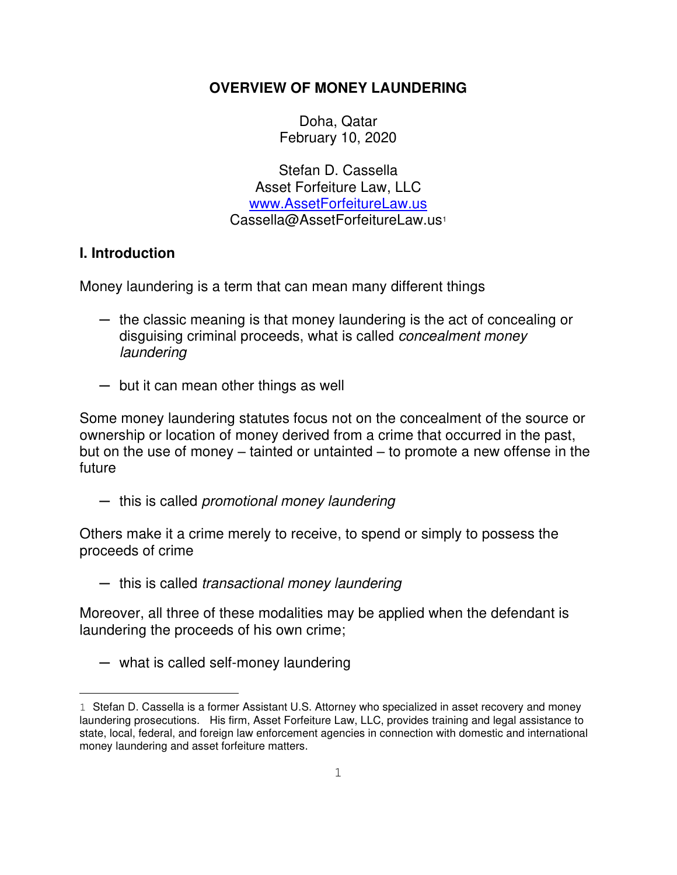## **OVERVIEW OF MONEY LAUNDERING**

Doha, Qatar February 10, 2020

 Stefan D. Cassella Asset Forfeiture Law, LLC [www.AssetForfeitureLaw.us](http://www.assetforfeiturelaw.us/) Cassella@AssetForfeitureLaw.us<sup>1</sup>

## **I. Introduction**

Money laundering is a term that can mean many different things

- ─ the classic meaning is that money laundering is the act of concealing or disguising criminal proceeds, what is called concealment money laundering
- ─ but it can mean other things as well

Some money laundering statutes focus not on the concealment of the source or ownership or location of money derived from a crime that occurred in the past, but on the use of money – tainted or untainted – to promote a new offense in the future

— this is called *promotional money laundering* 

Others make it a crime merely to receive, to spend or simply to possess the proceeds of crime

─ this is called transactional money laundering

Moreover, all three of these modalities may be applied when the defendant is laundering the proceeds of his own crime;

─ what is called self-money laundering

<sup>1</sup> Stefan D. Cassella is a former Assistant U.S. Attorney who specialized in asset recovery and money laundering prosecutions. His firm, Asset Forfeiture Law, LLC, provides training and legal assistance to state, local, federal, and foreign law enforcement agencies in connection with domestic and international money laundering and asset forfeiture matters.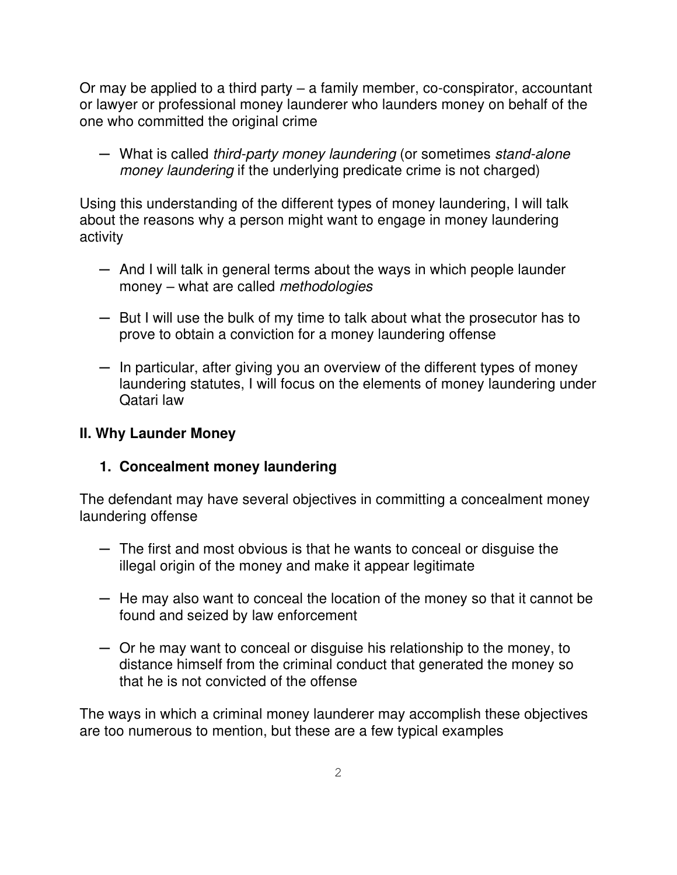Or may be applied to a third party – a family member, co-conspirator, accountant or lawyer or professional money launderer who launders money on behalf of the one who committed the original crime

— What is called third-party money laundering (or sometimes stand-alone money laundering if the underlying predicate crime is not charged)

Using this understanding of the different types of money laundering, I will talk about the reasons why a person might want to engage in money laundering activity

- $-$  And I will talk in general terms about the ways in which people launder money – what are called *methodologies*
- ─ But I will use the bulk of my time to talk about what the prosecutor has to prove to obtain a conviction for a money laundering offense
- $-$  In particular, after giving you an overview of the different types of money laundering statutes, I will focus on the elements of money laundering under Qatari law

## **II. Why Launder Money**

### **1. Concealment money laundering**

The defendant may have several objectives in committing a concealment money laundering offense

- ─ The first and most obvious is that he wants to conceal or disguise the illegal origin of the money and make it appear legitimate
- ─ He may also want to conceal the location of the money so that it cannot be found and seized by law enforcement
- ─ Or he may want to conceal or disguise his relationship to the money, to distance himself from the criminal conduct that generated the money so that he is not convicted of the offense

The ways in which a criminal money launderer may accomplish these objectives are too numerous to mention, but these are a few typical examples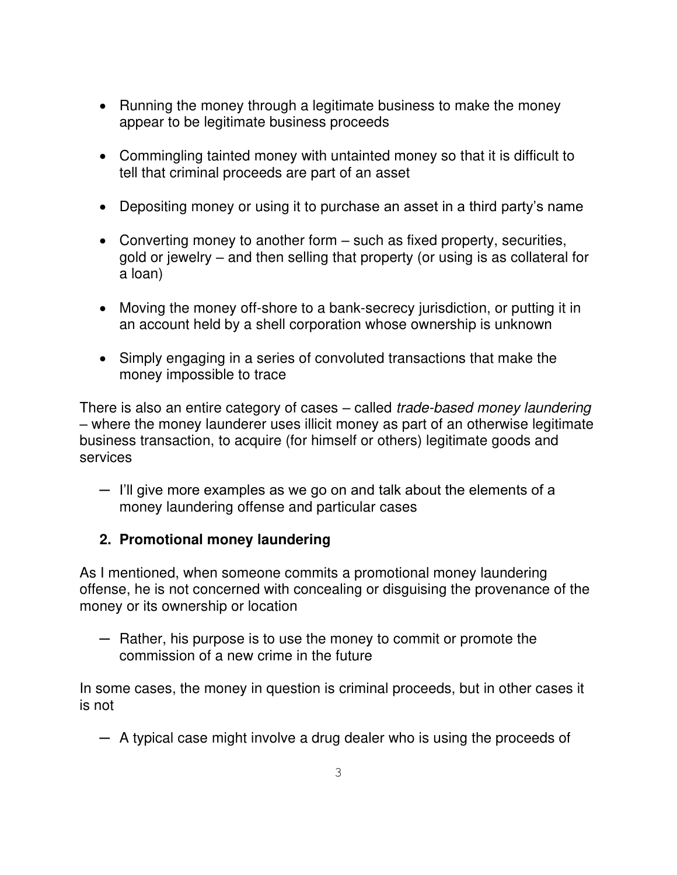- Running the money through a legitimate business to make the money appear to be legitimate business proceeds
- Commingling tainted money with untainted money so that it is difficult to tell that criminal proceeds are part of an asset
- Depositing money or using it to purchase an asset in a third party's name
- Converting money to another form such as fixed property, securities, gold or jewelry – and then selling that property (or using is as collateral for a loan)
- Moving the money off-shore to a bank-secrecy jurisdiction, or putting it in an account held by a shell corporation whose ownership is unknown
- Simply engaging in a series of convoluted transactions that make the money impossible to trace

There is also an entire category of cases - called trade-based money laundering *–* where the money launderer uses illicit money as part of an otherwise legitimate business transaction, to acquire (for himself or others) legitimate goods and services

─ I'll give more examples as we go on and talk about the elements of a money laundering offense and particular cases

## **2. Promotional money laundering**

As I mentioned, when someone commits a promotional money laundering offense, he is not concerned with concealing or disguising the provenance of the money or its ownership or location

─ Rather, his purpose is to use the money to commit or promote the commission of a new crime in the future

In some cases, the money in question is criminal proceeds, but in other cases it is not

─ A typical case might involve a drug dealer who is using the proceeds of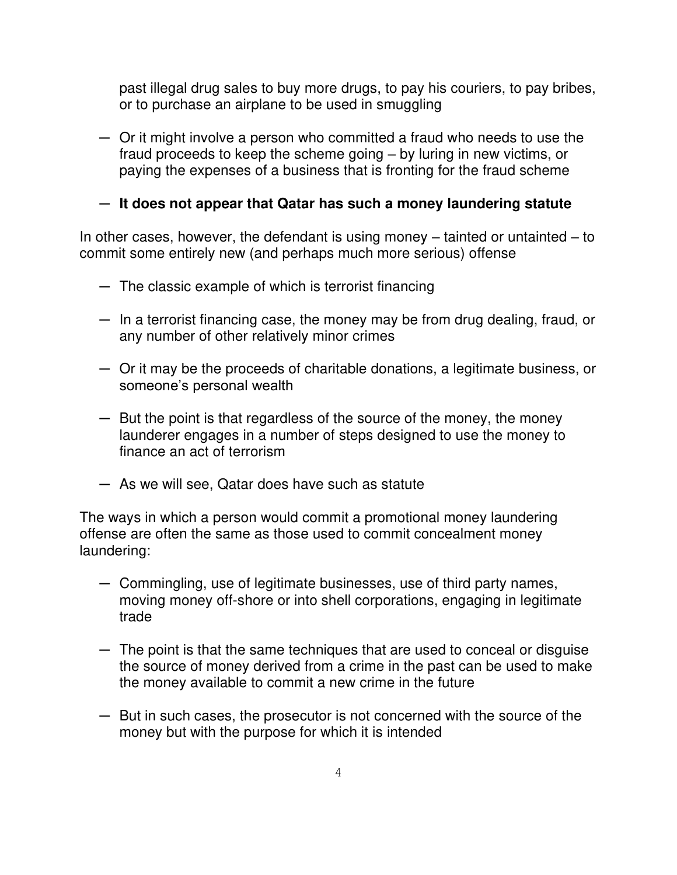past illegal drug sales to buy more drugs, to pay his couriers, to pay bribes, or to purchase an airplane to be used in smuggling

─ Or it might involve a person who committed a fraud who needs to use the fraud proceeds to keep the scheme going – by luring in new victims, or paying the expenses of a business that is fronting for the fraud scheme

─ **It does not appear that Qatar has such a money laundering statute** 

In other cases, however, the defendant is using money  $-$  tainted or untainted  $-$  to commit some entirely new (and perhaps much more serious) offense

- ─ The classic example of which is terrorist financing
- $-$  In a terrorist financing case, the money may be from drug dealing, fraud, or any number of other relatively minor crimes
- ─ Or it may be the proceeds of charitable donations, a legitimate business, or someone's personal wealth
- ─ But the point is that regardless of the source of the money, the money launderer engages in a number of steps designed to use the money to finance an act of terrorism
- ─ As we will see, Qatar does have such as statute

The ways in which a person would commit a promotional money laundering offense are often the same as those used to commit concealment money laundering:

- ─ Commingling, use of legitimate businesses, use of third party names, moving money off-shore or into shell corporations, engaging in legitimate trade
- ─ The point is that the same techniques that are used to conceal or disguise the source of money derived from a crime in the past can be used to make the money available to commit a new crime in the future
- ─ But in such cases, the prosecutor is not concerned with the source of the money but with the purpose for which it is intended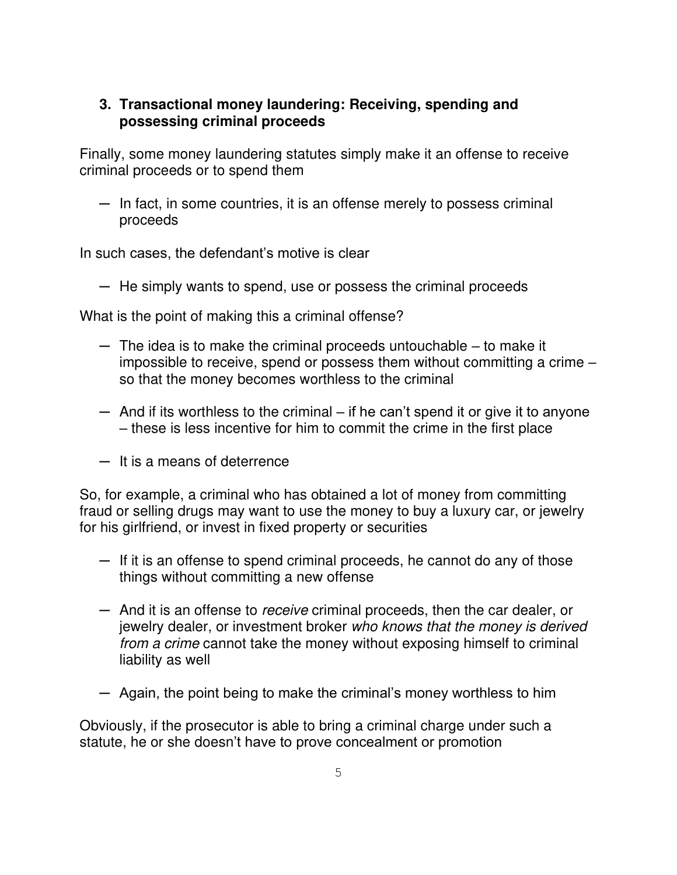## **3. Transactional money laundering: Receiving, spending and possessing criminal proceeds**

Finally, some money laundering statutes simply make it an offense to receive criminal proceeds or to spend them

 $-$  In fact, in some countries, it is an offense merely to possess criminal proceeds

In such cases, the defendant's motive is clear

─ He simply wants to spend, use or possess the criminal proceeds

What is the point of making this a criminal offense?

- ─ The idea is to make the criminal proceeds untouchable to make it impossible to receive, spend or possess them without committing a crime – so that the money becomes worthless to the criminal
- $-$  And if its worthless to the criminal if he can't spend it or give it to anyone – these is less incentive for him to commit the crime in the first place
- ─ It is a means of deterrence

So, for example, a criminal who has obtained a lot of money from committing fraud or selling drugs may want to use the money to buy a luxury car, or jewelry for his girlfriend, or invest in fixed property or securities

- ─ If it is an offense to spend criminal proceeds, he cannot do any of those things without committing a new offense
- ─ And it is an offense to receive criminal proceeds, then the car dealer, or jewelry dealer, or investment broker who knows that the money is derived from a crime cannot take the money without exposing himself to criminal liability as well
- ─ Again, the point being to make the criminal's money worthless to him

Obviously, if the prosecutor is able to bring a criminal charge under such a statute, he or she doesn't have to prove concealment or promotion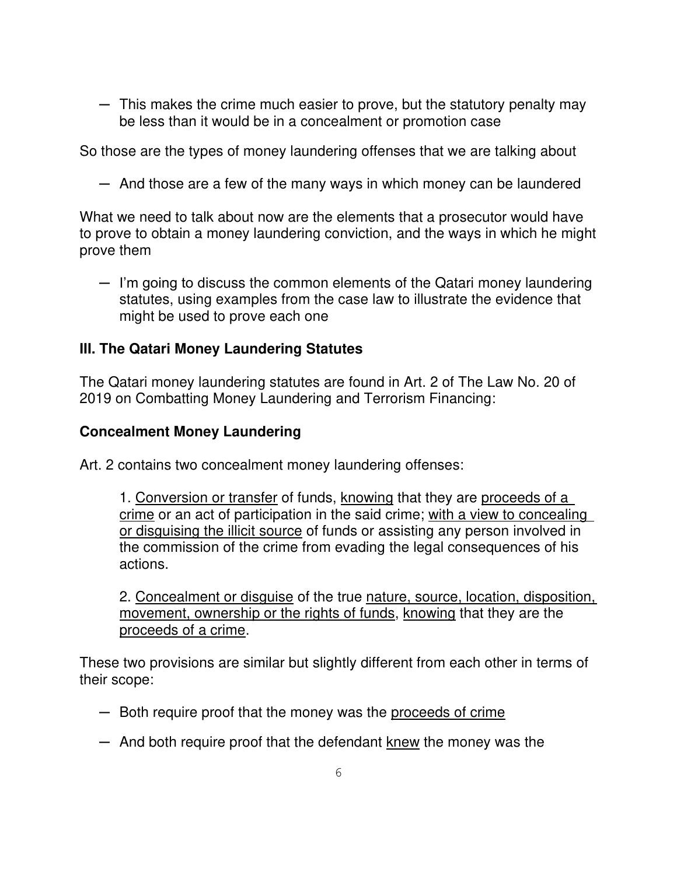$-$  This makes the crime much easier to prove, but the statutory penalty may be less than it would be in a concealment or promotion case

So those are the types of money laundering offenses that we are talking about

 $-$  And those are a few of the many ways in which money can be laundered

What we need to talk about now are the elements that a prosecutor would have to prove to obtain a money laundering conviction, and the ways in which he might prove them

─ I'm going to discuss the common elements of the Qatari money laundering statutes, using examples from the case law to illustrate the evidence that might be used to prove each one

# **III. The Qatari Money Laundering Statutes**

The Qatari money laundering statutes are found in Art. 2 of The Law No. 20 of 2019 on Combatting Money Laundering and Terrorism Financing:

## **Concealment Money Laundering**

Art. 2 contains two concealment money laundering offenses:

1. Conversion or transfer of funds, knowing that they are proceeds of a crime or an act of participation in the said crime; with a view to concealing or disguising the illicit source of funds or assisting any person involved in the commission of the crime from evading the legal consequences of his actions.

2. Concealment or disguise of the true nature, source, location, disposition, movement, ownership or the rights of funds, knowing that they are the proceeds of a crime.

These two provisions are similar but slightly different from each other in terms of their scope:

- $-$  Both require proof that the money was the proceeds of crime
- ─ And both require proof that the defendant knew the money was the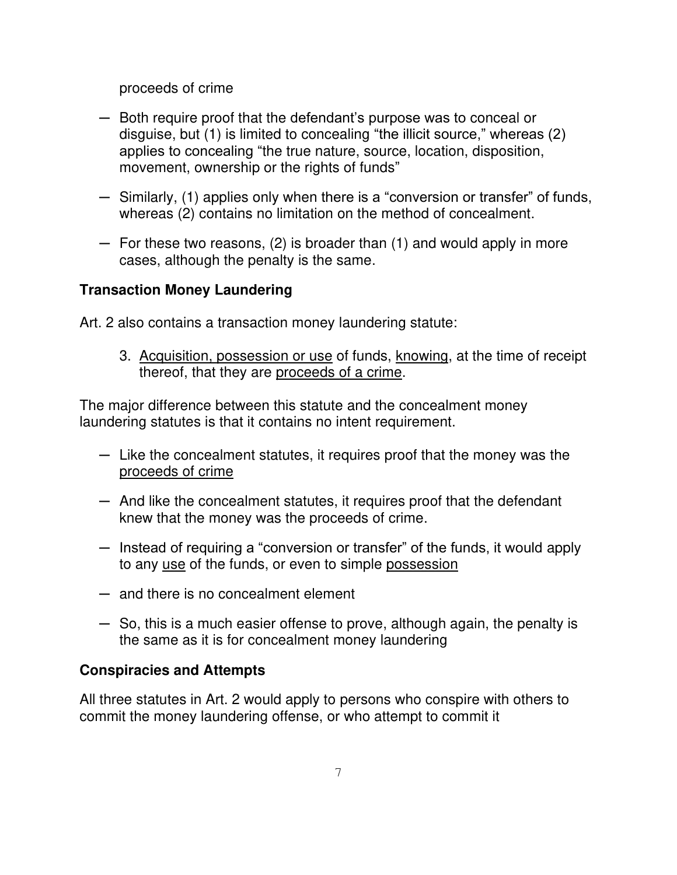proceeds of crime

- ─ Both require proof that the defendant's purpose was to conceal or disguise, but (1) is limited to concealing "the illicit source," whereas (2) applies to concealing "the true nature, source, location, disposition, movement, ownership or the rights of funds"
- ─ Similarly, (1) applies only when there is a "conversion or transfer" of funds, whereas (2) contains no limitation on the method of concealment.
- ─ For these two reasons, (2) is broader than (1) and would apply in more cases, although the penalty is the same.

# **Transaction Money Laundering**

Art. 2 also contains a transaction money laundering statute:

3. Acquisition, possession or use of funds, knowing, at the time of receipt thereof, that they are proceeds of a crime.

The major difference between this statute and the concealment money laundering statutes is that it contains no intent requirement.

- ─ Like the concealment statutes, it requires proof that the money was the proceeds of crime
- $-$  And like the concealment statutes, it requires proof that the defendant knew that the money was the proceeds of crime.
- $-$  Instead of requiring a "conversion or transfer" of the funds, it would apply to any use of the funds, or even to simple possession
- ─ and there is no concealment element
- ─ So, this is a much easier offense to prove, although again, the penalty is the same as it is for concealment money laundering

## **Conspiracies and Attempts**

All three statutes in Art. 2 would apply to persons who conspire with others to commit the money laundering offense, or who attempt to commit it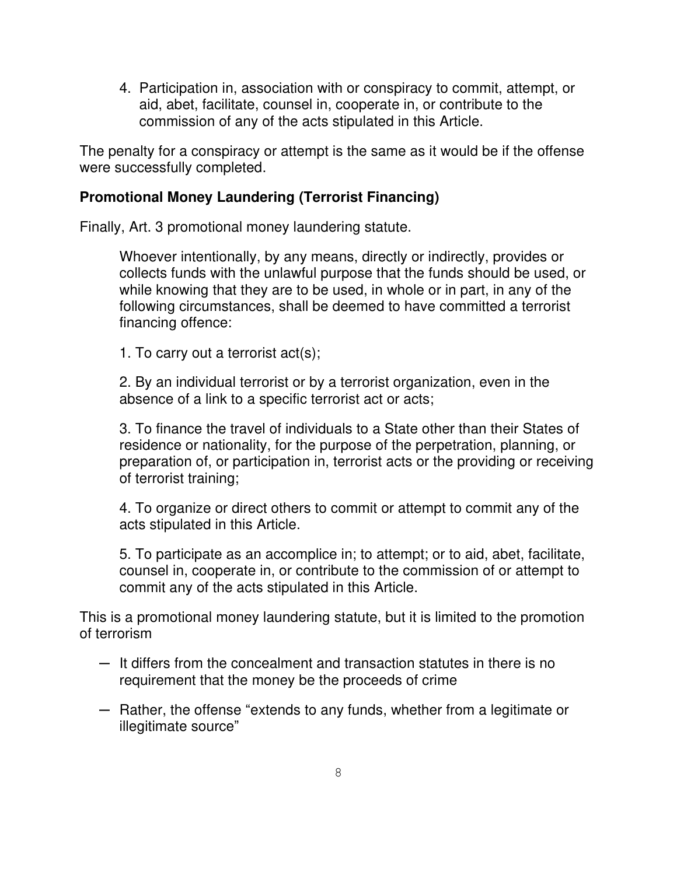4. Participation in, association with or conspiracy to commit, attempt, or aid, abet, facilitate, counsel in, cooperate in, or contribute to the commission of any of the acts stipulated in this Article.

The penalty for a conspiracy or attempt is the same as it would be if the offense were successfully completed.

## **Promotional Money Laundering (Terrorist Financing)**

Finally, Art. 3 promotional money laundering statute.

Whoever intentionally, by any means, directly or indirectly, provides or collects funds with the unlawful purpose that the funds should be used, or while knowing that they are to be used, in whole or in part, in any of the following circumstances, shall be deemed to have committed a terrorist financing offence:

1. To carry out a terrorist act(s);

2. By an individual terrorist or by a terrorist organization, even in the absence of a link to a specific terrorist act or acts;

3. To finance the travel of individuals to a State other than their States of residence or nationality, for the purpose of the perpetration, planning, or preparation of, or participation in, terrorist acts or the providing or receiving of terrorist training;

4. To organize or direct others to commit or attempt to commit any of the acts stipulated in this Article.

5. To participate as an accomplice in; to attempt; or to aid, abet, facilitate, counsel in, cooperate in, or contribute to the commission of or attempt to commit any of the acts stipulated in this Article.

This is a promotional money laundering statute, but it is limited to the promotion of terrorism

- ─ It differs from the concealment and transaction statutes in there is no requirement that the money be the proceeds of crime
- ─ Rather, the offense "extends to any funds, whether from a legitimate or illegitimate source"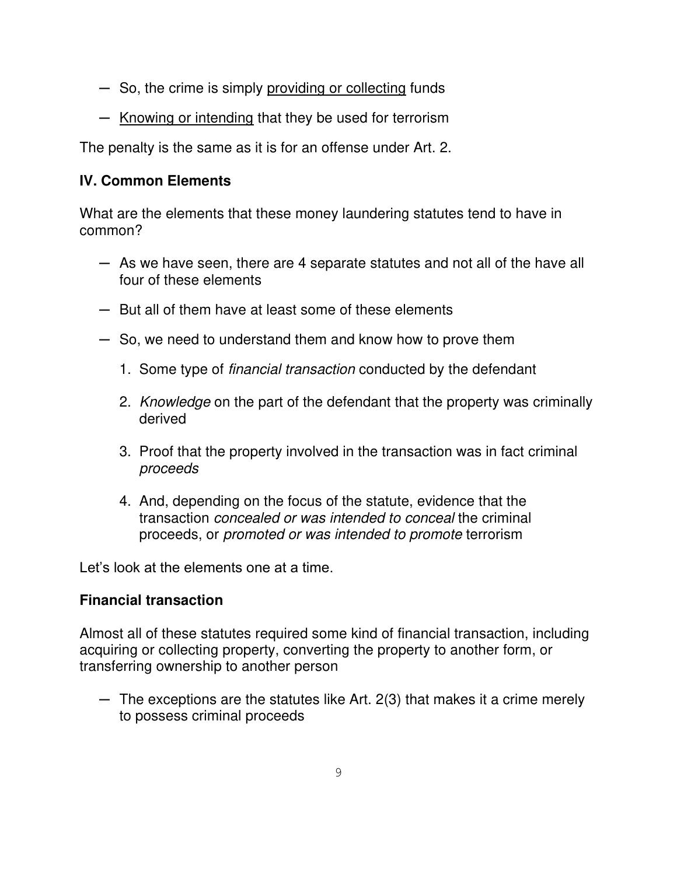- ─ So, the crime is simply providing or collecting funds
- ─ Knowing or intending that they be used for terrorism

The penalty is the same as it is for an offense under Art. 2.

# **IV. Common Elements**

What are the elements that these money laundering statutes tend to have in common?

- ─ As we have seen, there are 4 separate statutes and not all of the have all four of these elements
- ─ But all of them have at least some of these elements
- ─ So, we need to understand them and know how to prove them
	- 1. Some type of financial transaction conducted by the defendant
	- 2. Knowledge on the part of the defendant that the property was criminally derived
	- 3. Proof that the property involved in the transaction was in fact criminal proceeds
	- 4. And, depending on the focus of the statute, evidence that the transaction concealed or was intended to conceal the criminal proceeds, or promoted or was intended to promote terrorism

Let's look at the elements one at a time.

## **Financial transaction**

Almost all of these statutes required some kind of financial transaction, including acquiring or collecting property, converting the property to another form, or transferring ownership to another person

 $-$  The exceptions are the statutes like Art. 2(3) that makes it a crime merely to possess criminal proceeds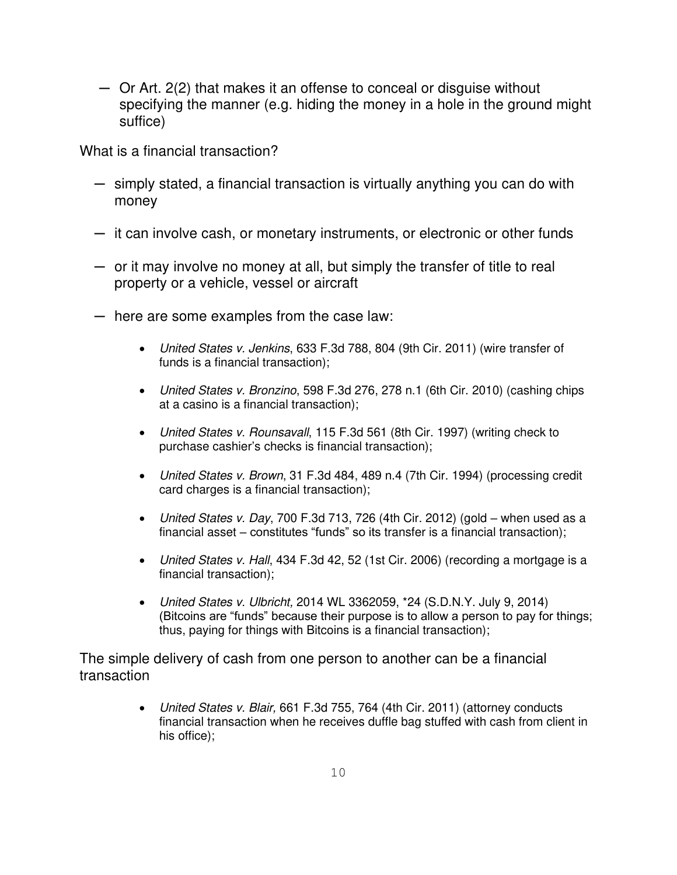─ Or Art. 2(2) that makes it an offense to conceal or disguise without specifying the manner (e.g. hiding the money in a hole in the ground might suffice)

What is a financial transaction?

- ─ simply stated, a financial transaction is virtually anything you can do with money
- $-$  it can involve cash, or monetary instruments, or electronic or other funds
- ─ or it may involve no money at all, but simply the transfer of title to real property or a vehicle, vessel or aircraft
- ─ here are some examples from the case law:
	- United States v. Jenkins, 633 F.3d 788, 804 (9th Cir. 2011) (wire transfer of funds is a financial transaction);
	- United States v. Bronzino, 598 F.3d 276, 278 n.1 (6th Cir. 2010) (cashing chips at a casino is a financial transaction);
	- United States v. Rounsavall, 115 F.3d 561 (8th Cir. 1997) (writing check to purchase cashier's checks is financial transaction);
	- United States v. Brown, 31 F.3d 484, 489 n.4 (7th Cir. 1994) (processing credit card charges is a financial transaction);
	- United States v. Day, 700 F.3d 713, 726 (4th Cir. 2012) (gold when used as a financial asset – constitutes "funds" so its transfer is a financial transaction);
	- United States v. Hall, 434 F.3d 42, 52 (1st Cir. 2006) (recording a mortgage is a financial transaction);
	- United States v. Ulbricht, 2014 WL 3362059, \*24 (S.D.N.Y. July 9, 2014) (Bitcoins are "funds" because their purpose is to allow a person to pay for things; thus, paying for things with Bitcoins is a financial transaction);

The simple delivery of cash from one person to another can be a financial transaction

> • United States v. Blair, 661 F.3d 755, 764 (4th Cir. 2011) (attorney conducts financial transaction when he receives duffle bag stuffed with cash from client in his office);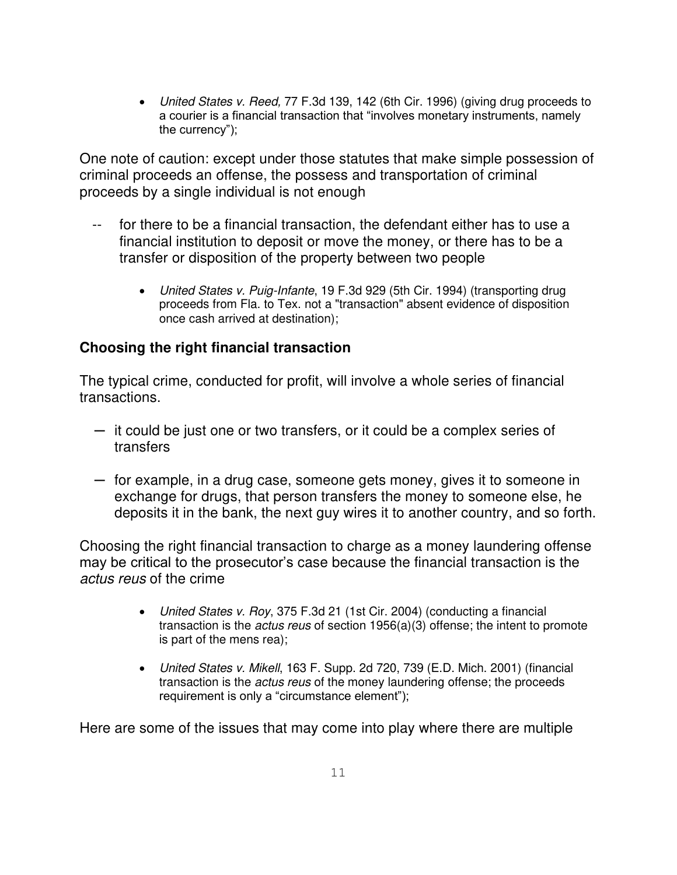• United States v. Reed, 77 F.3d 139, 142 (6th Cir. 1996) (giving drug proceeds to a courier is a financial transaction that "involves monetary instruments, namely the currency");

One note of caution: except under those statutes that make simple possession of criminal proceeds an offense, the possess and transportation of criminal proceeds by a single individual is not enough

- -- for there to be a financial transaction, the defendant either has to use a financial institution to deposit or move the money, or there has to be a transfer or disposition of the property between two people
	- United States v. Puig-Infante, 19 F.3d 929 (5th Cir. 1994) (transporting drug proceeds from Fla. to Tex. not a "transaction" absent evidence of disposition once cash arrived at destination);

## **Choosing the right financial transaction**

The typical crime, conducted for profit, will involve a whole series of financial transactions.

- ─ it could be just one or two transfers, or it could be a complex series of transfers
- ─ for example, in a drug case, someone gets money, gives it to someone in exchange for drugs, that person transfers the money to someone else, he deposits it in the bank, the next guy wires it to another country, and so forth.

Choosing the right financial transaction to charge as a money laundering offense may be critical to the prosecutor's case because the financial transaction is the actus reus of the crime

- United States v. Roy, 375 F.3d 21 (1st Cir. 2004) (conducting a financial transaction is the actus reus of section 1956(a)(3) offense; the intent to promote is part of the mens rea);
- United States v. Mikell, 163 F. Supp. 2d 720, 739 (E.D. Mich. 2001) (financial transaction is the actus reus of the money laundering offense; the proceeds requirement is only a "circumstance element");

Here are some of the issues that may come into play where there are multiple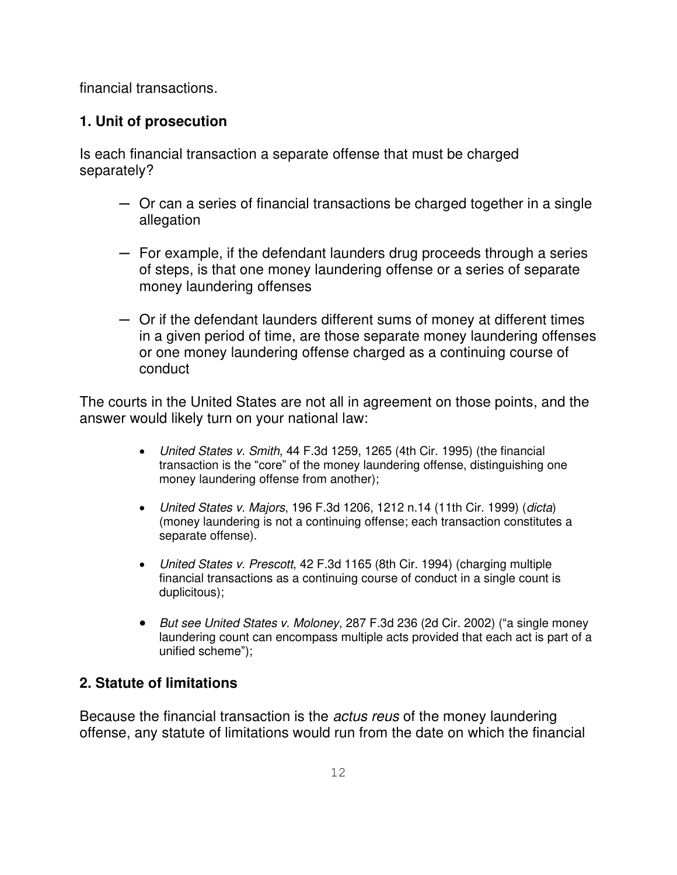financial transactions.

# **1. Unit of prosecution**

Is each financial transaction a separate offense that must be charged separately?

- ─ Or can a series of financial transactions be charged together in a single allegation
- $-$  For example, if the defendant launders drug proceeds through a series of steps, is that one money laundering offense or a series of separate money laundering offenses
- ─ Or if the defendant launders different sums of money at different times in a given period of time, are those separate money laundering offenses or one money laundering offense charged as a continuing course of conduct

The courts in the United States are not all in agreement on those points, and the answer would likely turn on your national law:

- United States v. Smith, 44 F.3d 1259, 1265 (4th Cir. 1995) (the financial transaction is the "core" of the money laundering offense, distinguishing one money laundering offense from another);
- United States v. Majors, 196 F.3d 1206, 1212 n.14 (11th Cir. 1999) (dicta) (money laundering is not a continuing offense; each transaction constitutes a separate offense).
- United States v. Prescott, 42 F.3d 1165 (8th Cir. 1994) (charging multiple financial transactions as a continuing course of conduct in a single count is duplicitous);
- But see United States v. Moloney, 287 F.3d 236 (2d Cir. 2002) ("a single money laundering count can encompass multiple acts provided that each act is part of a unified scheme");

# **2. Statute of limitations**

Because the financial transaction is the actus reus of the money laundering offense, any statute of limitations would run from the date on which the financial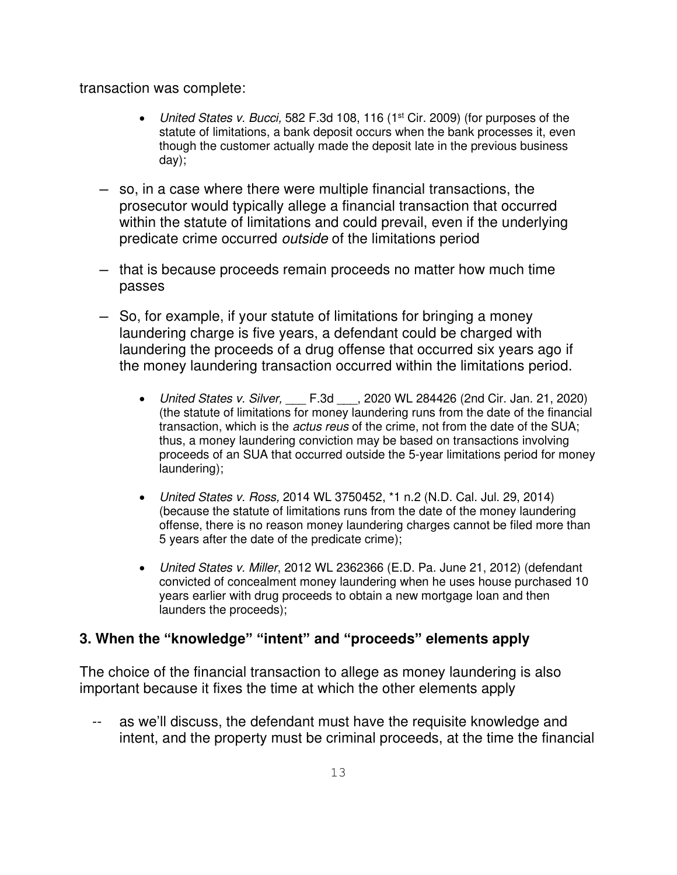transaction was complete:

- United States v. Bucci, 582 F.3d 108, 116 (1<sup>st</sup> Cir. 2009) (for purposes of the statute of limitations, a bank deposit occurs when the bank processes it, even though the customer actually made the deposit late in the previous business day);
- ─ so, in a case where there were multiple financial transactions, the prosecutor would typically allege a financial transaction that occurred within the statute of limitations and could prevail, even if the underlying predicate crime occurred outside of the limitations period
- ─ that is because proceeds remain proceeds no matter how much time passes
- ─ So, for example, if your statute of limitations for bringing a money laundering charge is five years, a defendant could be charged with laundering the proceeds of a drug offense that occurred six years ago if the money laundering transaction occurred within the limitations period.
	- United States v. Silver, \_\_\_ F.3d \_\_\_, 2020 WL 284426 (2nd Cir. Jan. 21, 2020) (the statute of limitations for money laundering runs from the date of the financial transaction, which is the *actus reus* of the crime, not from the date of the SUA; thus, a money laundering conviction may be based on transactions involving proceeds of an SUA that occurred outside the 5-year limitations period for money laundering);
	- United States v. Ross, 2014 WL 3750452, \*1 n.2 (N.D. Cal. Jul. 29, 2014) (because the statute of limitations runs from the date of the money laundering offense, there is no reason money laundering charges cannot be filed more than 5 years after the date of the predicate crime);
	- United States v. Miller, 2012 WL 2362366 (E.D. Pa. June 21, 2012) (defendant convicted of concealment money laundering when he uses house purchased 10 years earlier with drug proceeds to obtain a new mortgage loan and then launders the proceeds);

## **3. When the "knowledge" "intent" and "proceeds" elements apply**

The choice of the financial transaction to allege as money laundering is also important because it fixes the time at which the other elements apply

as we'll discuss, the defendant must have the requisite knowledge and intent, and the property must be criminal proceeds, at the time the financial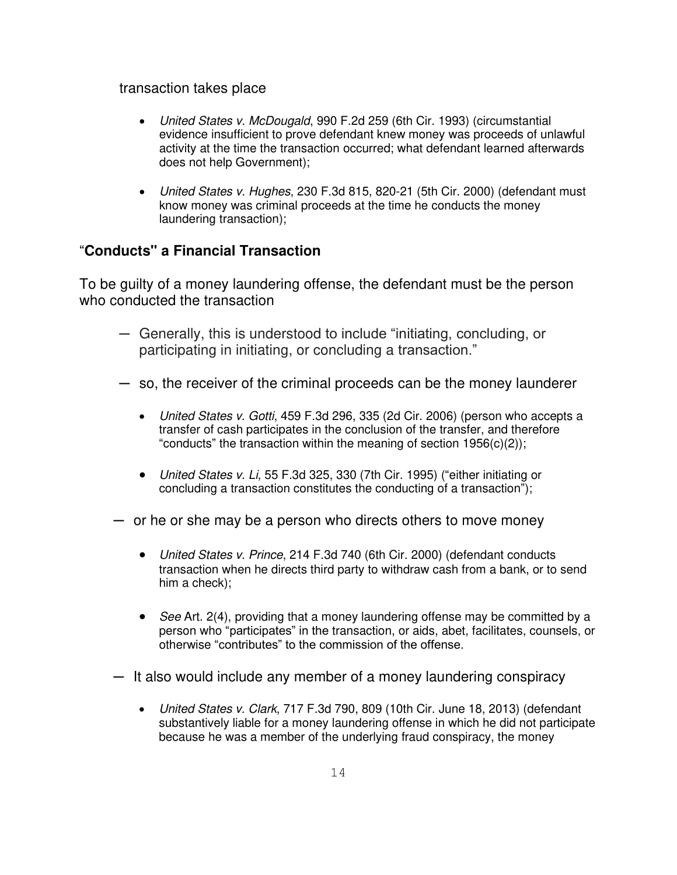transaction takes place

- United States v. McDougald, 990 F.2d 259 (6th Cir. 1993) (circumstantial evidence insufficient to prove defendant knew money was proceeds of unlawful activity at the time the transaction occurred; what defendant learned afterwards does not help Government);
- United States v. Hughes, 230 F.3d 815, 820-21 (5th Cir. 2000) (defendant must know money was criminal proceeds at the time he conducts the money laundering transaction);

### "**Conducts" a Financial Transaction**

To be guilty of a money laundering offense, the defendant must be the person who conducted the transaction

- ─ Generally, this is understood to include "initiating, concluding, or participating in initiating, or concluding a transaction."
- ─ so, the receiver of the criminal proceeds can be the money launderer
	- United States v. Gotti, 459 F.3d 296, 335 (2d Cir. 2006) (person who accepts a transfer of cash participates in the conclusion of the transfer, and therefore "conducts" the transaction within the meaning of section  $1956(c)(2)$ ;
	- United States v. Li, 55 F.3d 325, 330 (7th Cir. 1995) ("either initiating or concluding a transaction constitutes the conducting of a transaction");
- or he or she may be a person who directs others to move money
	- United States v. Prince, 214 F.3d 740 (6th Cir. 2000) (defendant conducts transaction when he directs third party to withdraw cash from a bank, or to send him a check);
	- See Art. 2(4), providing that a money laundering offense may be committed by a person who "participates" in the transaction, or aids, abet, facilitates, counsels, or otherwise "contributes" to the commission of the offense.
- $-$  It also would include any member of a money laundering conspiracy
	- United States v. Clark, 717 F.3d 790, 809 (10th Cir. June 18, 2013) (defendant substantively liable for a money laundering offense in which he did not participate because he was a member of the underlying fraud conspiracy, the money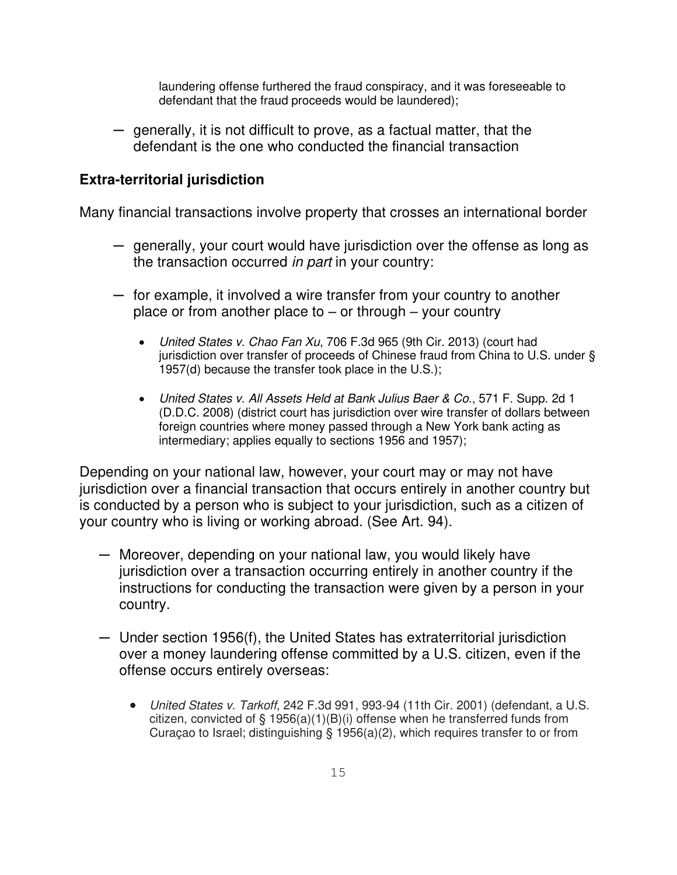laundering offense furthered the fraud conspiracy, and it was foreseeable to defendant that the fraud proceeds would be laundered);

─ generally, it is not difficult to prove, as a factual matter, that the defendant is the one who conducted the financial transaction

### **Extra-territorial jurisdiction**

Many financial transactions involve property that crosses an international border

- ─ generally, your court would have jurisdiction over the offense as long as the transaction occurred *in part* in your country:
- $-$  for example, it involved a wire transfer from your country to another place or from another place to  $-$  or through  $-$  your country
	- United States v. Chao Fan Xu, 706 F.3d 965 (9th Cir. 2013) (court had jurisdiction over transfer of proceeds of Chinese fraud from China to U.S. under § 1957(d) because the transfer took place in the U.S.);
	- United States v. All Assets Held at Bank Julius Baer & Co., 571 F. Supp. 2d 1 (D.D.C. 2008) (district court has jurisdiction over wire transfer of dollars between foreign countries where money passed through a New York bank acting as intermediary; applies equally to sections 1956 and 1957);

Depending on your national law, however, your court may or may not have jurisdiction over a financial transaction that occurs entirely in another country but is conducted by a person who is subject to your jurisdiction, such as a citizen of your country who is living or working abroad. (See Art. 94).

- ─ Moreover, depending on your national law, you would likely have jurisdiction over a transaction occurring entirely in another country if the instructions for conducting the transaction were given by a person in your country.
- ─ Under section 1956(f), the United States has extraterritorial jurisdiction over a money laundering offense committed by a U.S. citizen, even if the offense occurs entirely overseas:
	- United States v. Tarkoff, 242 F.3d 991, 993-94 (11th Cir. 2001) (defendant, a U.S. citizen, convicted of § 1956(a)(1)(B)(i) offense when he transferred funds from Curaçao to Israel; distinguishing § 1956(a)(2), which requires transfer to or from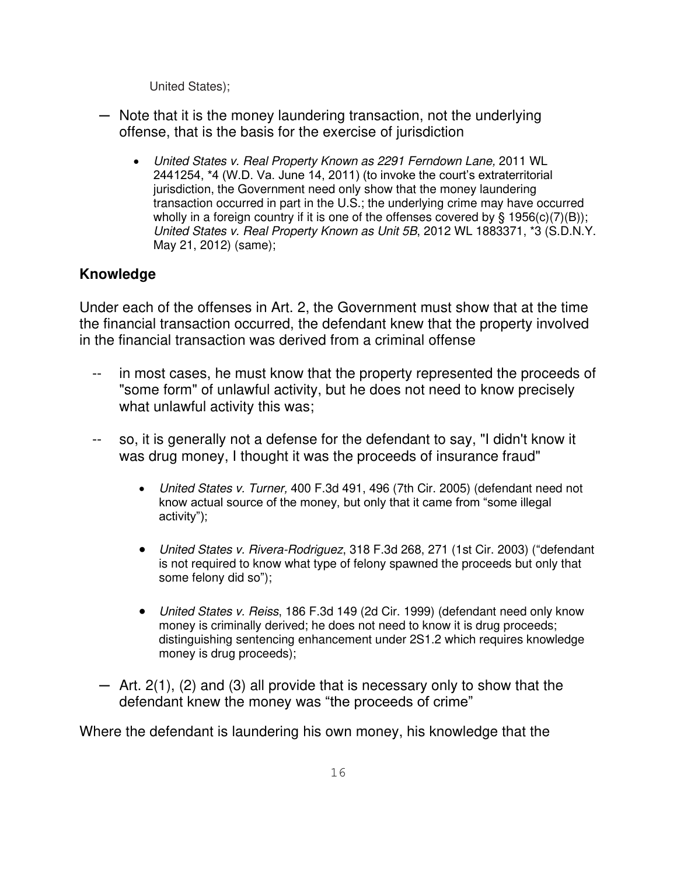United States);

- ─ Note that it is the money laundering transaction, not the underlying offense, that is the basis for the exercise of jurisdiction
	- United States v. Real Property Known as 2291 Ferndown Lane, 2011 WL 2441254, \*4 (W.D. Va. June 14, 2011) (to invoke the court's extraterritorial jurisdiction, the Government need only show that the money laundering transaction occurred in part in the U.S.; the underlying crime may have occurred wholly in a foreign country if it is one of the offenses covered by  $\S$  1956(c)(7)(B)); United States v. Real Property Known as Unit 5B, 2012 WL 1883371, \*3 (S.D.N.Y. May 21, 2012) (same);

## **Knowledge**

Under each of the offenses in Art. 2, the Government must show that at the time the financial transaction occurred, the defendant knew that the property involved in the financial transaction was derived from a criminal offense

- in most cases, he must know that the property represented the proceeds of "some form" of unlawful activity, but he does not need to know precisely what unlawful activity this was;
- -- so, it is generally not a defense for the defendant to say, "I didn't know it was drug money, I thought it was the proceeds of insurance fraud"
	- United States v. Turner, 400 F.3d 491, 496 (7th Cir. 2005) (defendant need not know actual source of the money, but only that it came from "some illegal activity");
	- United States v. Rivera-Rodriguez, 318 F.3d 268, 271 (1st Cir. 2003) ("defendant is not required to know what type of felony spawned the proceeds but only that some felony did so");
	- United States v. Reiss, 186 F.3d 149 (2d Cir. 1999) (defendant need only know money is criminally derived; he does not need to know it is drug proceeds; distinguishing sentencing enhancement under 2S1.2 which requires knowledge money is drug proceeds);
	- $-$  Art. 2(1), (2) and (3) all provide that is necessary only to show that the defendant knew the money was "the proceeds of crime"

Where the defendant is laundering his own money, his knowledge that the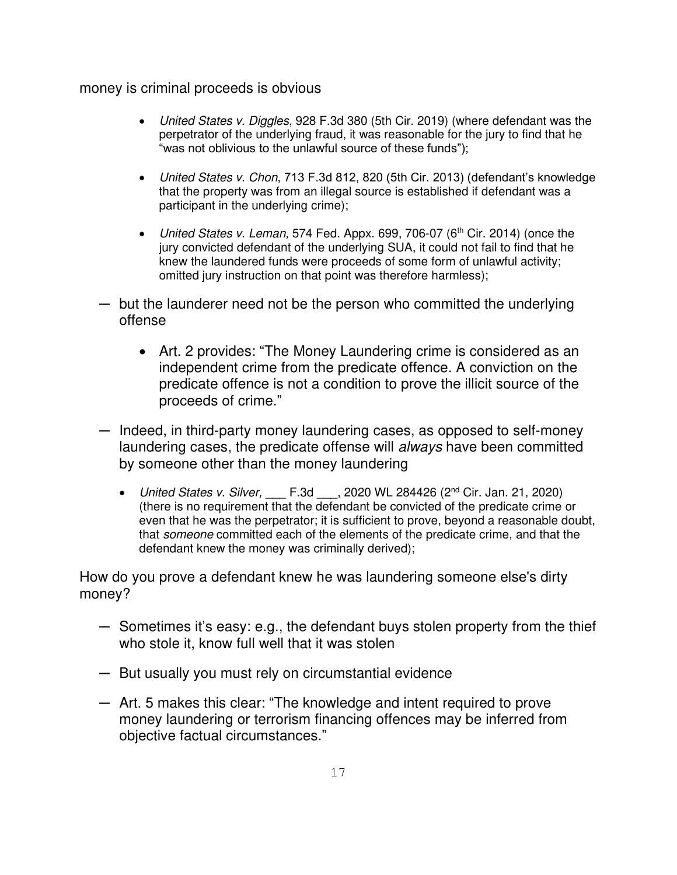#### money is criminal proceeds is obvious

- United States v. Diggles, 928 F.3d 380 (5th Cir. 2019) (where defendant was the perpetrator of the underlying fraud, it was reasonable for the jury to find that he "was not oblivious to the unlawful source of these funds");
- United States v. Chon, 713 F.3d 812, 820 (5th Cir. 2013) (defendant's knowledge that the property was from an illegal source is established if defendant was a participant in the underlying crime);
- United States v. Leman, 574 Fed. Appx. 699, 706-07 (6<sup>th</sup> Cir. 2014) (once the jury convicted defendant of the underlying SUA, it could not fail to find that he knew the laundered funds were proceeds of some form of unlawful activity; omitted jury instruction on that point was therefore harmless);
- ─ but the launderer need not be the person who committed the underlying offense
	- Art. 2 provides: "The Money Laundering crime is considered as an independent crime from the predicate offence. A conviction on the predicate offence is not a condition to prove the illicit source of the proceeds of crime."
- $-$  Indeed, in third-party money laundering cases, as opposed to self-money laundering cases, the predicate offense will always have been committed by someone other than the money laundering
	- United States v. Silver,  $F.3d$ , 2020 WL 284426 (2<sup>nd</sup> Cir. Jan. 21, 2020) (there is no requirement that the defendant be convicted of the predicate crime or even that he was the perpetrator; it is sufficient to prove, beyond a reasonable doubt, that someone committed each of the elements of the predicate crime, and that the defendant knew the money was criminally derived);

How do you prove a defendant knew he was laundering someone else's dirty money?

- ─ Sometimes it's easy: e.g., the defendant buys stolen property from the thief who stole it, know full well that it was stolen
- ─ But usually you must rely on circumstantial evidence
- ─ Art. 5 makes this clear: "The knowledge and intent required to prove money laundering or terrorism financing offences may be inferred from objective factual circumstances."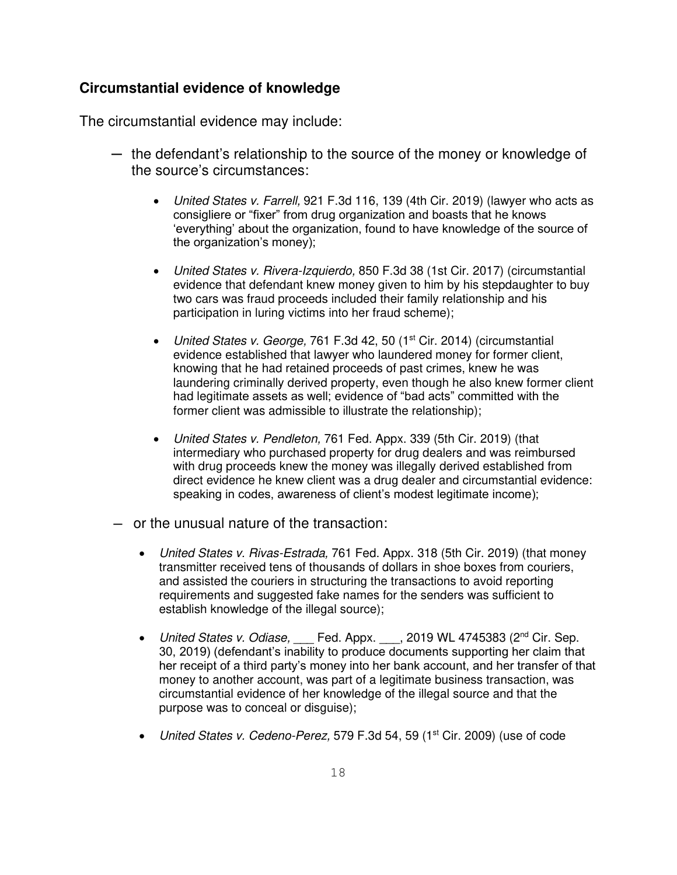#### **Circumstantial evidence of knowledge**

The circumstantial evidence may include:

- ─ the defendant's relationship to the source of the money or knowledge of the source's circumstances:
	- United States v. Farrell, 921 F.3d 116, 139 (4th Cir. 2019) (lawyer who acts as consigliere or "fixer" from drug organization and boasts that he knows 'everything' about the organization, found to have knowledge of the source of the organization's money);
	- United States v. Rivera-Izquierdo, 850 F.3d 38 (1st Cir. 2017) (circumstantial evidence that defendant knew money given to him by his stepdaughter to buy two cars was fraud proceeds included their family relationship and his participation in luring victims into her fraud scheme);
	- United States v. George, 761 F.3d 42, 50 (1<sup>st</sup> Cir. 2014) (circumstantial evidence established that lawyer who laundered money for former client, knowing that he had retained proceeds of past crimes, knew he was laundering criminally derived property, even though he also knew former client had legitimate assets as well; evidence of "bad acts" committed with the former client was admissible to illustrate the relationship);
	- United States v. Pendleton, 761 Fed. Appx. 339 (5th Cir. 2019) (that intermediary who purchased property for drug dealers and was reimbursed with drug proceeds knew the money was illegally derived established from direct evidence he knew client was a drug dealer and circumstantial evidence: speaking in codes, awareness of client's modest legitimate income);
- ─ or the unusual nature of the transaction:
	- United States v. Rivas-Estrada, 761 Fed. Appx. 318 (5th Cir. 2019) (that money transmitter received tens of thousands of dollars in shoe boxes from couriers, and assisted the couriers in structuring the transactions to avoid reporting requirements and suggested fake names for the senders was sufficient to establish knowledge of the illegal source);
	- United States v. Odiase, Fed. Appx. 1, 2019 WL 4745383 (2<sup>nd</sup> Cir. Sep. 30, 2019) (defendant's inability to produce documents supporting her claim that her receipt of a third party's money into her bank account, and her transfer of that money to another account, was part of a legitimate business transaction, was circumstantial evidence of her knowledge of the illegal source and that the purpose was to conceal or disguise);
	- United States v. Cedeno-Perez, 579 F.3d 54, 59 (1<sup>st</sup> Cir. 2009) (use of code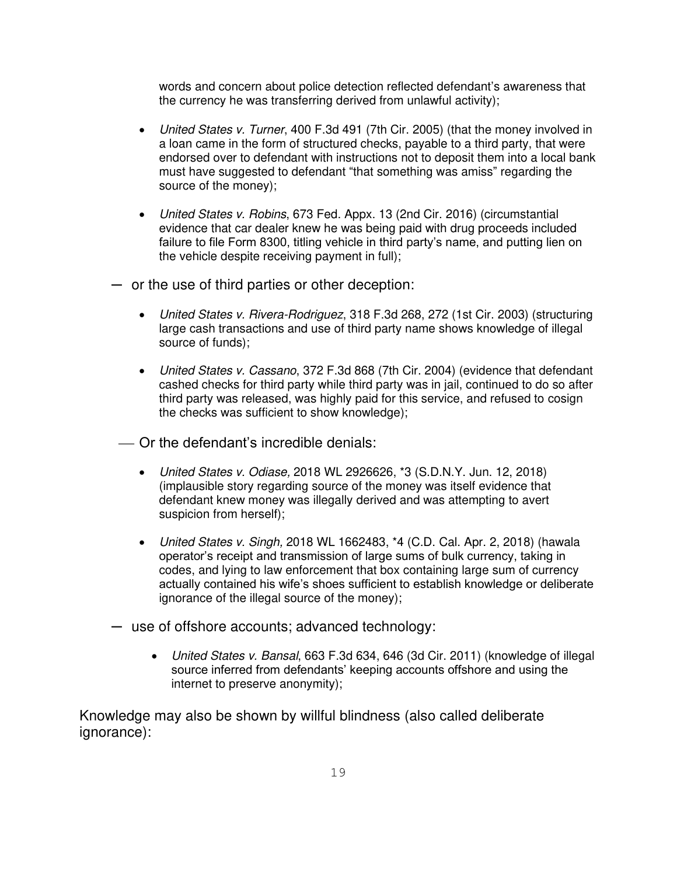words and concern about police detection reflected defendant's awareness that the currency he was transferring derived from unlawful activity);

- United States v. Turner, 400 F.3d 491 (7th Cir. 2005) (that the money involved in a loan came in the form of structured checks, payable to a third party, that were endorsed over to defendant with instructions not to deposit them into a local bank must have suggested to defendant "that something was amiss" regarding the source of the money);
- United States v. Robins, 673 Fed. Appx. 13 (2nd Cir. 2016) (circumstantial evidence that car dealer knew he was being paid with drug proceeds included failure to file Form 8300, titling vehicle in third party's name, and putting lien on the vehicle despite receiving payment in full);
- ─ or the use of third parties or other deception:
	- United States v. Rivera-Rodriguez, 318 F.3d 268, 272 (1st Cir. 2003) (structuring large cash transactions and use of third party name shows knowledge of illegal source of funds);
	- United States v. Cassano, 372 F.3d 868 (7th Cir. 2004) (evidence that defendant cashed checks for third party while third party was in jail, continued to do so after third party was released, was highly paid for this service, and refused to cosign the checks was sufficient to show knowledge);
	- ⎯ Or the defendant's incredible denials:
		- United States v. Odiase, 2018 WL 2926626, \*3 (S.D.N.Y. Jun. 12, 2018) (implausible story regarding source of the money was itself evidence that defendant knew money was illegally derived and was attempting to avert suspicion from herself);
		- United States v. Singh, 2018 WL 1662483, \*4 (C.D. Cal. Apr. 2, 2018) (hawala operator's receipt and transmission of large sums of bulk currency, taking in codes, and lying to law enforcement that box containing large sum of currency actually contained his wife's shoes sufficient to establish knowledge or deliberate ignorance of the illegal source of the money);
- ─ use of offshore accounts; advanced technology:
	- United States v. Bansal, 663 F.3d 634, 646 (3d Cir. 2011) (knowledge of illegal source inferred from defendants' keeping accounts offshore and using the internet to preserve anonymity);

Knowledge may also be shown by willful blindness (also called deliberate ignorance):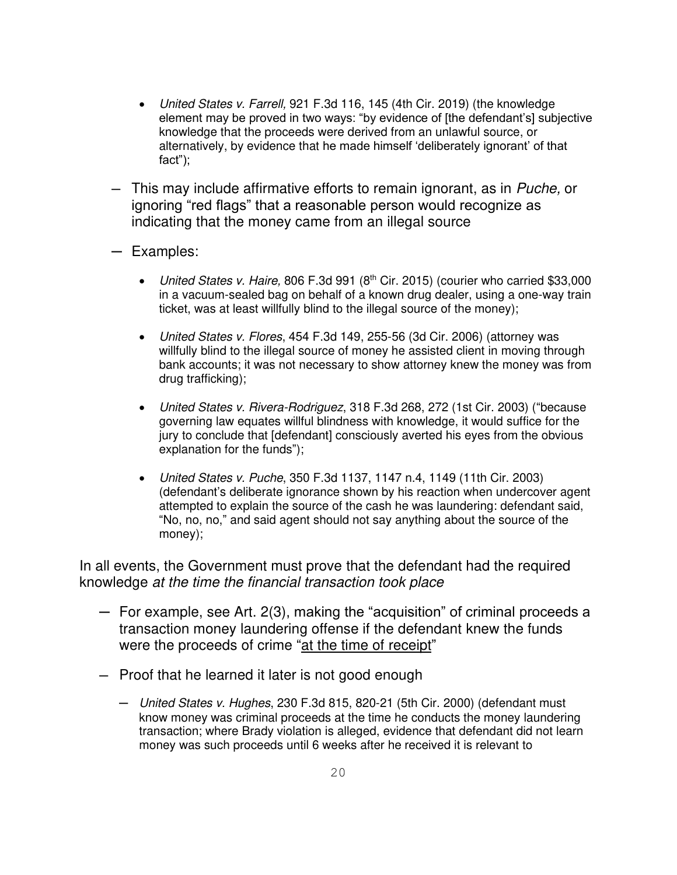- United States v. Farrell, 921 F.3d 116, 145 (4th Cir. 2019) (the knowledge element may be proved in two ways: "by evidence of [the defendant's] subjective knowledge that the proceeds were derived from an unlawful source, or alternatively, by evidence that he made himself 'deliberately ignorant' of that fact");
- $-$  This may include affirmative efforts to remain ignorant, as in Puche, or ignoring "red flags" that a reasonable person would recognize as indicating that the money came from an illegal source
- ─ Examples:
	- United States v. Haire, 806 F.3d 991  $(8<sup>th</sup>$  Cir. 2015) (courier who carried \$33,000 in a vacuum-sealed bag on behalf of a known drug dealer, using a one-way train ticket, was at least willfully blind to the illegal source of the money);
	- United States v. Flores, 454 F.3d 149, 255-56 (3d Cir. 2006) (attorney was willfully blind to the illegal source of money he assisted client in moving through bank accounts; it was not necessary to show attorney knew the money was from drug trafficking);
	- United States v. Rivera-Rodriguez, 318 F.3d 268, 272 (1st Cir. 2003) ("because governing law equates willful blindness with knowledge, it would suffice for the jury to conclude that [defendant] consciously averted his eyes from the obvious explanation for the funds");
	- United States v. Puche, 350 F.3d 1137, 1147 n.4, 1149 (11th Cir. 2003) (defendant's deliberate ignorance shown by his reaction when undercover agent attempted to explain the source of the cash he was laundering: defendant said, "No, no, no," and said agent should not say anything about the source of the money);

In all events, the Government must prove that the defendant had the required knowledge at the time the financial transaction took place

- ─ For example, see Art. 2(3), making the "acquisition" of criminal proceeds a transaction money laundering offense if the defendant knew the funds were the proceeds of crime "at the time of receipt"
- ─ Proof that he learned it later is not good enough
	- ─ United States v. Hughes, 230 F.3d 815, 820-21 (5th Cir. 2000) (defendant must know money was criminal proceeds at the time he conducts the money laundering transaction; where Brady violation is alleged, evidence that defendant did not learn money was such proceeds until 6 weeks after he received it is relevant to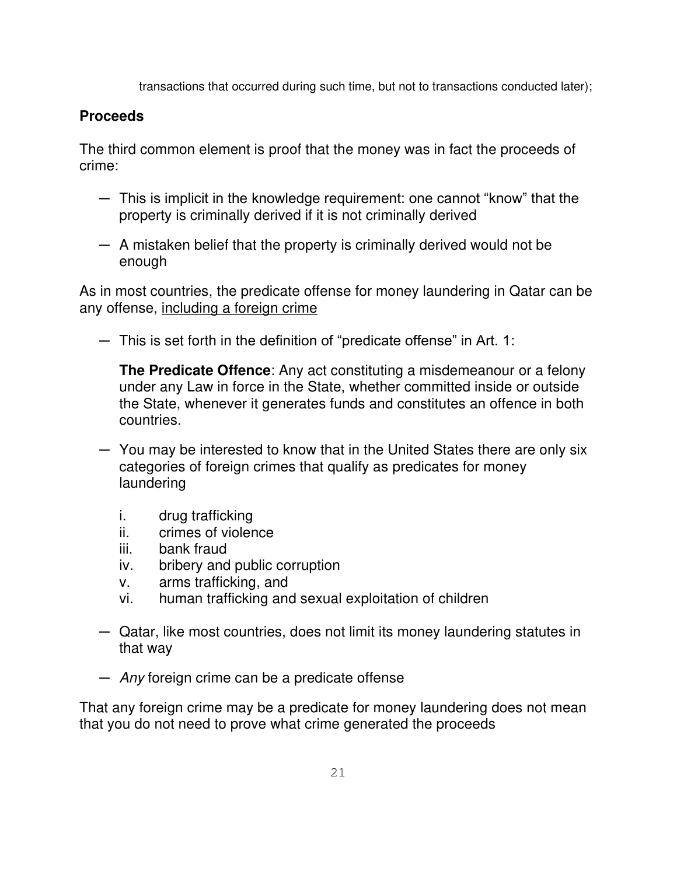transactions that occurred during such time, but not to transactions conducted later);

## **Proceeds**

The third common element is proof that the money was in fact the proceeds of crime:

- ─ This is implicit in the knowledge requirement: one cannot "know" that the property is criminally derived if it is not criminally derived
- $-$  A mistaken belief that the property is criminally derived would not be enough

As in most countries, the predicate offense for money laundering in Qatar can be any offense, including a foreign crime

 $-$  This is set forth in the definition of "predicate offense" in Art. 1:

**The Predicate Offence**: Any act constituting a misdemeanour or a felony under any Law in force in the State, whether committed inside or outside the State, whenever it generates funds and constitutes an offence in both countries.

- ─ You may be interested to know that in the United States there are only six categories of foreign crimes that qualify as predicates for money laundering
	- i. drug trafficking
	- ii. crimes of violence
	- iii. bank fraud
	- iv. bribery and public corruption
	- v. arms trafficking, and
	- vi. human trafficking and sexual exploitation of children
- ─ Qatar, like most countries, does not limit its money laundering statutes in that way
- Any foreign crime can be a predicate offense

That any foreign crime may be a predicate for money laundering does not mean that you do not need to prove what crime generated the proceeds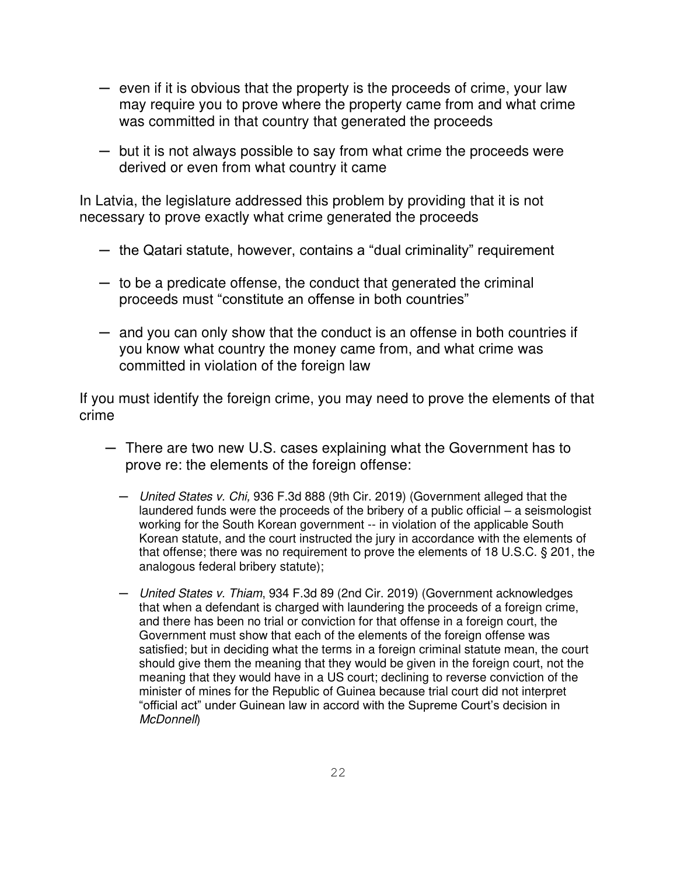- ─ even if it is obvious that the property is the proceeds of crime, your law may require you to prove where the property came from and what crime was committed in that country that generated the proceeds
- ─ but it is not always possible to say from what crime the proceeds were derived or even from what country it came

In Latvia, the legislature addressed this problem by providing that it is not necessary to prove exactly what crime generated the proceeds

- $-$  the Qatari statute, however, contains a "dual criminality" requirement
- ─ to be a predicate offense, the conduct that generated the criminal proceeds must "constitute an offense in both countries"
- $-$  and you can only show that the conduct is an offense in both countries if you know what country the money came from, and what crime was committed in violation of the foreign law

If you must identify the foreign crime, you may need to prove the elements of that crime

- ─ There are two new U.S. cases explaining what the Government has to prove re: the elements of the foreign offense:
	- ─ United States v. Chi, 936 F.3d 888 (9th Cir. 2019) (Government alleged that the laundered funds were the proceeds of the bribery of a public official – a seismologist working for the South Korean government -- in violation of the applicable South Korean statute, and the court instructed the jury in accordance with the elements of that offense; there was no requirement to prove the elements of 18 U.S.C. § 201, the analogous federal bribery statute);
	- ─ United States v. Thiam, 934 F.3d 89 (2nd Cir. 2019) (Government acknowledges that when a defendant is charged with laundering the proceeds of a foreign crime, and there has been no trial or conviction for that offense in a foreign court, the Government must show that each of the elements of the foreign offense was satisfied; but in deciding what the terms in a foreign criminal statute mean, the court should give them the meaning that they would be given in the foreign court, not the meaning that they would have in a US court; declining to reverse conviction of the minister of mines for the Republic of Guinea because trial court did not interpret "official act" under Guinean law in accord with the Supreme Court's decision in McDonnell)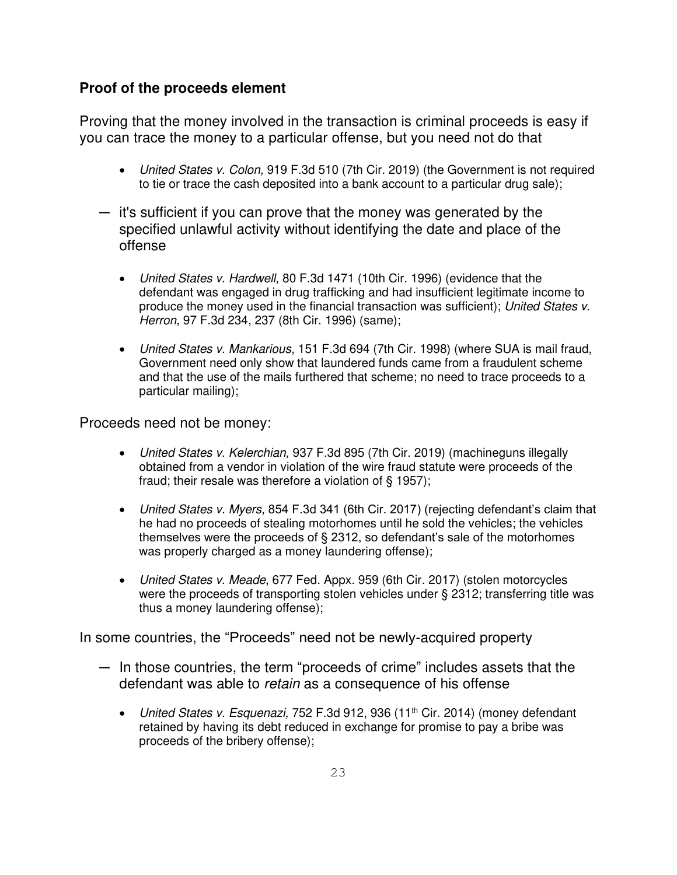### **Proof of the proceeds element**

Proving that the money involved in the transaction is criminal proceeds is easy if you can trace the money to a particular offense, but you need not do that

- United States v. Colon, 919 F.3d 510 (7th Cir. 2019) (the Government is not required to tie or trace the cash deposited into a bank account to a particular drug sale);
- ─ it's sufficient if you can prove that the money was generated by the specified unlawful activity without identifying the date and place of the offense
	- United States v. Hardwell, 80 F.3d 1471 (10th Cir. 1996) (evidence that the defendant was engaged in drug trafficking and had insufficient legitimate income to produce the money used in the financial transaction was sufficient); United States v. Herron, 97 F.3d 234, 237 (8th Cir. 1996) (same);
	- United States v. Mankarious, 151 F.3d 694 (7th Cir. 1998) (where SUA is mail fraud, Government need only show that laundered funds came from a fraudulent scheme and that the use of the mails furthered that scheme; no need to trace proceeds to a particular mailing);

Proceeds need not be money:

- United States v. Kelerchian, 937 F.3d 895 (7th Cir. 2019) (machineguns illegally obtained from a vendor in violation of the wire fraud statute were proceeds of the fraud; their resale was therefore a violation of § 1957);
- United States v. Myers, 854 F.3d 341 (6th Cir. 2017) (rejecting defendant's claim that he had no proceeds of stealing motorhomes until he sold the vehicles; the vehicles themselves were the proceeds of § 2312, so defendant's sale of the motorhomes was properly charged as a money laundering offense);
- United States v. Meade, 677 Fed. Appx. 959 (6th Cir. 2017) (stolen motorcycles were the proceeds of transporting stolen vehicles under § 2312; transferring title was thus a money laundering offense);

In some countries, the "Proceeds" need not be newly-acquired property

- $-$  In those countries, the term "proceeds of crime" includes assets that the defendant was able to retain as a consequence of his offense
	- United States v. Esquenazi, 752 F.3d 912, 936 (11<sup>th</sup> Cir. 2014) (money defendant retained by having its debt reduced in exchange for promise to pay a bribe was proceeds of the bribery offense);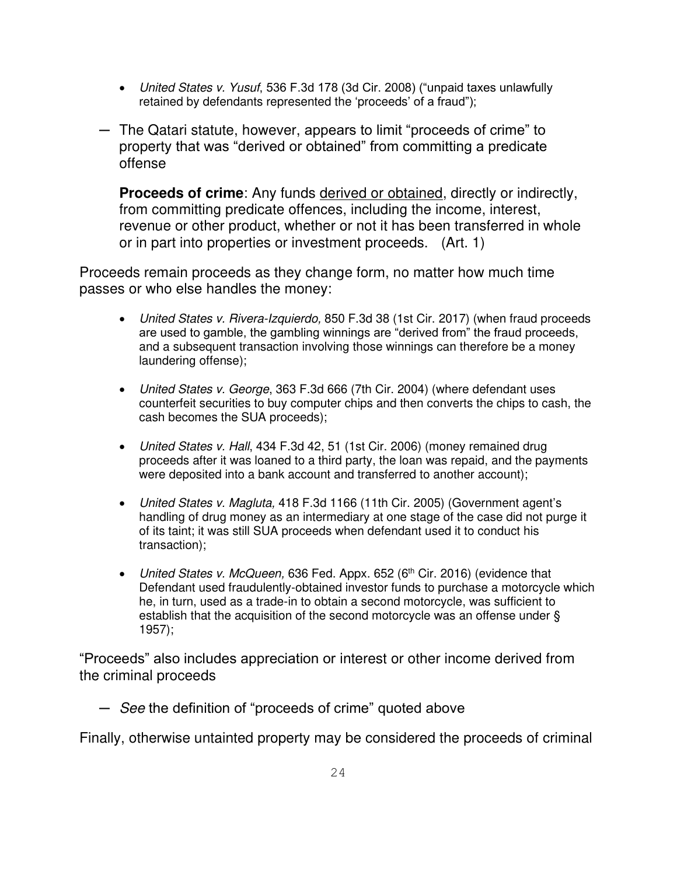- United States v. Yusuf, 536 F.3d 178 (3d Cir. 2008) ("unpaid taxes unlawfully retained by defendants represented the 'proceeds' of a fraud");
- ─ The Qatari statute, however, appears to limit "proceeds of crime" to property that was "derived or obtained" from committing a predicate offense

**Proceeds of crime**: Any funds derived or obtained, directly or indirectly, from committing predicate offences, including the income, interest, revenue or other product, whether or not it has been transferred in whole or in part into properties or investment proceeds. (Art. 1)

Proceeds remain proceeds as they change form, no matter how much time passes or who else handles the money:

- United States v. Rivera-Izquierdo, 850 F.3d 38 (1st Cir. 2017) (when fraud proceeds are used to gamble, the gambling winnings are "derived from" the fraud proceeds, and a subsequent transaction involving those winnings can therefore be a money laundering offense);
- United States v. George, 363 F.3d 666 (7th Cir. 2004) (where defendant uses counterfeit securities to buy computer chips and then converts the chips to cash, the cash becomes the SUA proceeds);
- United States v. Hall, 434 F.3d 42, 51 (1st Cir. 2006) (money remained drug proceeds after it was loaned to a third party, the loan was repaid, and the payments were deposited into a bank account and transferred to another account);
- United States v. Magluta, 418 F.3d 1166 (11th Cir. 2005) (Government agent's handling of drug money as an intermediary at one stage of the case did not purge it of its taint; it was still SUA proceeds when defendant used it to conduct his transaction);
- United States v. McQueen, 636 Fed. Appx. 652 (6<sup>th</sup> Cir. 2016) (evidence that Defendant used fraudulently-obtained investor funds to purchase a motorcycle which he, in turn, used as a trade-in to obtain a second motorcycle, was sufficient to establish that the acquisition of the second motorcycle was an offense under § 1957);

"Proceeds" also includes appreciation or interest or other income derived from the criminal proceeds

─ See the definition of "proceeds of crime" quoted above

Finally, otherwise untainted property may be considered the proceeds of criminal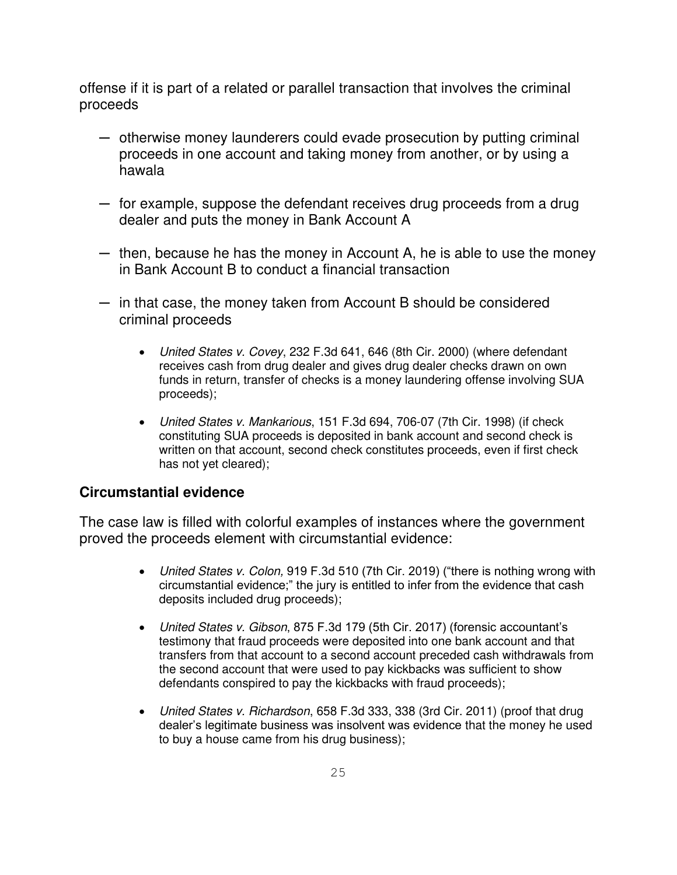offense if it is part of a related or parallel transaction that involves the criminal proceeds

- $-$  otherwise money launderers could evade prosecution by putting criminal proceeds in one account and taking money from another, or by using a hawala
- ─ for example, suppose the defendant receives drug proceeds from a drug dealer and puts the money in Bank Account A
- ─ then, because he has the money in Account A, he is able to use the money in Bank Account B to conduct a financial transaction
- $-$  in that case, the money taken from Account B should be considered criminal proceeds
	- United States v. Covey, 232 F.3d 641, 646 (8th Cir. 2000) (where defendant receives cash from drug dealer and gives drug dealer checks drawn on own funds in return, transfer of checks is a money laundering offense involving SUA proceeds);
	- United States v. Mankarious, 151 F.3d 694, 706-07 (7th Cir. 1998) (if check constituting SUA proceeds is deposited in bank account and second check is written on that account, second check constitutes proceeds, even if first check has not yet cleared);

### **Circumstantial evidence**

The case law is filled with colorful examples of instances where the government proved the proceeds element with circumstantial evidence:

- United States v. Colon, 919 F.3d 510 (7th Cir. 2019) ("there is nothing wrong with circumstantial evidence;" the jury is entitled to infer from the evidence that cash deposits included drug proceeds);
- United States v. Gibson, 875 F.3d 179 (5th Cir. 2017) (forensic accountant's testimony that fraud proceeds were deposited into one bank account and that transfers from that account to a second account preceded cash withdrawals from the second account that were used to pay kickbacks was sufficient to show defendants conspired to pay the kickbacks with fraud proceeds);
- United States v. Richardson, 658 F.3d 333, 338 (3rd Cir. 2011) (proof that drug dealer's legitimate business was insolvent was evidence that the money he used to buy a house came from his drug business);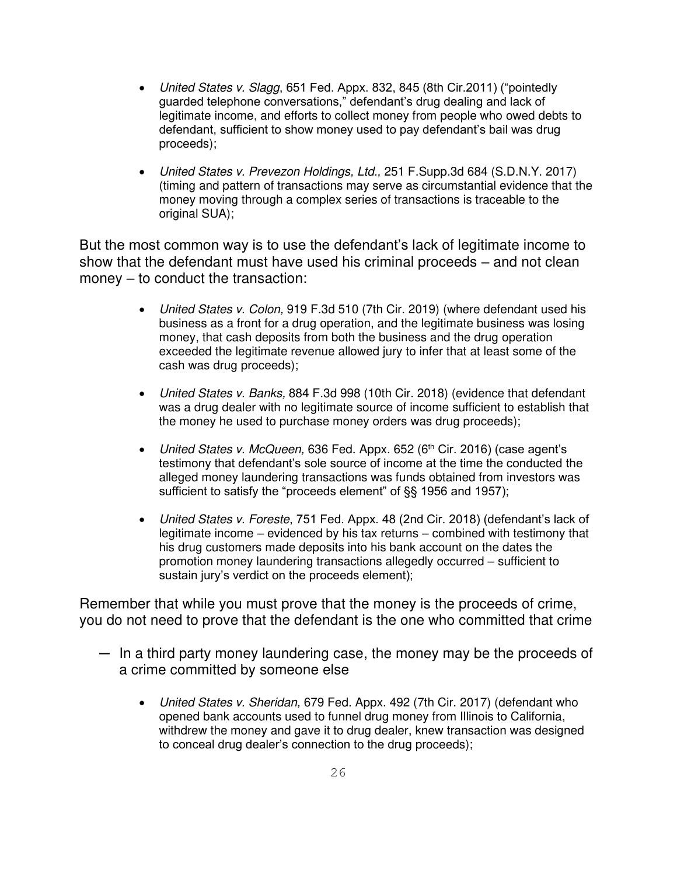- United States v. Slagg, 651 Fed. Appx. 832, 845 (8th Cir. 2011) ("pointedly guarded telephone conversations," defendant's drug dealing and lack of legitimate income, and efforts to collect money from people who owed debts to defendant, sufficient to show money used to pay defendant's bail was drug proceeds);
- United States v. Prevezon Holdings, Ltd., 251 F.Supp.3d 684 (S.D.N.Y. 2017) (timing and pattern of transactions may serve as circumstantial evidence that the money moving through a complex series of transactions is traceable to the original SUA);

But the most common way is to use the defendant's lack of legitimate income to show that the defendant must have used his criminal proceeds – and not clean money – to conduct the transaction:

- United States v. Colon, 919 F.3d 510 (7th Cir. 2019) (where defendant used his business as a front for a drug operation, and the legitimate business was losing money, that cash deposits from both the business and the drug operation exceeded the legitimate revenue allowed jury to infer that at least some of the cash was drug proceeds);
- United States v. Banks, 884 F.3d 998 (10th Cir. 2018) (evidence that defendant was a drug dealer with no legitimate source of income sufficient to establish that the money he used to purchase money orders was drug proceeds);
- United States v. McQueen, 636 Fed. Appx. 652 (6<sup>th</sup> Cir. 2016) (case agent's testimony that defendant's sole source of income at the time the conducted the alleged money laundering transactions was funds obtained from investors was sufficient to satisfy the "proceeds element" of §§ 1956 and 1957);
- United States v. Foreste, 751 Fed. Appx. 48 (2nd Cir. 2018) (defendant's lack of legitimate income – evidenced by his tax returns – combined with testimony that his drug customers made deposits into his bank account on the dates the promotion money laundering transactions allegedly occurred – sufficient to sustain jury's verdict on the proceeds element);

Remember that while you must prove that the money is the proceeds of crime, you do not need to prove that the defendant is the one who committed that crime

- $-$  In a third party money laundering case, the money may be the proceeds of a crime committed by someone else
	- United States v. Sheridan, 679 Fed. Appx. 492 (7th Cir. 2017) (defendant who opened bank accounts used to funnel drug money from Illinois to California, withdrew the money and gave it to drug dealer, knew transaction was designed to conceal drug dealer's connection to the drug proceeds);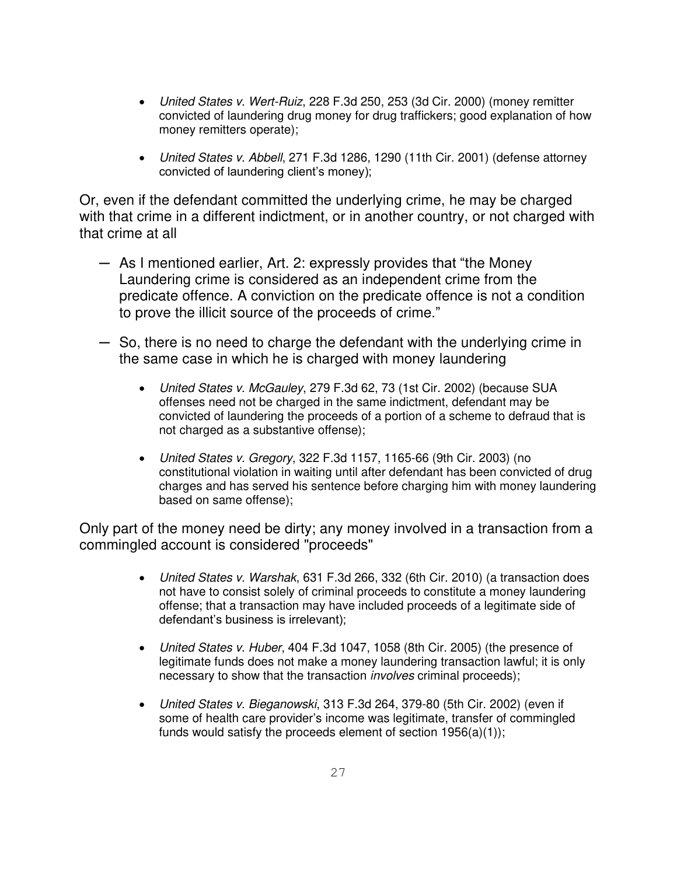- United States v. Wert-Ruiz, 228 F.3d 250, 253 (3d Cir. 2000) (money remitter convicted of laundering drug money for drug traffickers; good explanation of how money remitters operate);
- United States v. Abbell, 271 F.3d 1286, 1290 (11th Cir. 2001) (defense attorney convicted of laundering client's money);

Or, even if the defendant committed the underlying crime, he may be charged with that crime in a different indictment, or in another country, or not charged with that crime at all

- $-$  As I mentioned earlier, Art. 2: expressly provides that "the Money" Laundering crime is considered as an independent crime from the predicate offence. A conviction on the predicate offence is not a condition to prove the illicit source of the proceeds of crime."
- ─ So, there is no need to charge the defendant with the underlying crime in the same case in which he is charged with money laundering
	- United States v. McGauley, 279 F.3d 62, 73 (1st Cir. 2002) (because SUA offenses need not be charged in the same indictment, defendant may be convicted of laundering the proceeds of a portion of a scheme to defraud that is not charged as a substantive offense);
	- United States v. Gregory, 322 F.3d 1157, 1165-66 (9th Cir. 2003) (no constitutional violation in waiting until after defendant has been convicted of drug charges and has served his sentence before charging him with money laundering based on same offense);

Only part of the money need be dirty; any money involved in a transaction from a commingled account is considered "proceeds"

- United States v. Warshak, 631 F.3d 266, 332 (6th Cir. 2010) (a transaction does not have to consist solely of criminal proceeds to constitute a money laundering offense; that a transaction may have included proceeds of a legitimate side of defendant's business is irrelevant);
- United States v. Huber, 404 F.3d 1047, 1058 (8th Cir. 2005) (the presence of legitimate funds does not make a money laundering transaction lawful; it is only necessary to show that the transaction *involves* criminal proceeds);
- United States v. Bieganowski, 313 F.3d 264, 379-80 (5th Cir. 2002) (even if some of health care provider's income was legitimate, transfer of commingled funds would satisfy the proceeds element of section  $1956(a)(1)$ ;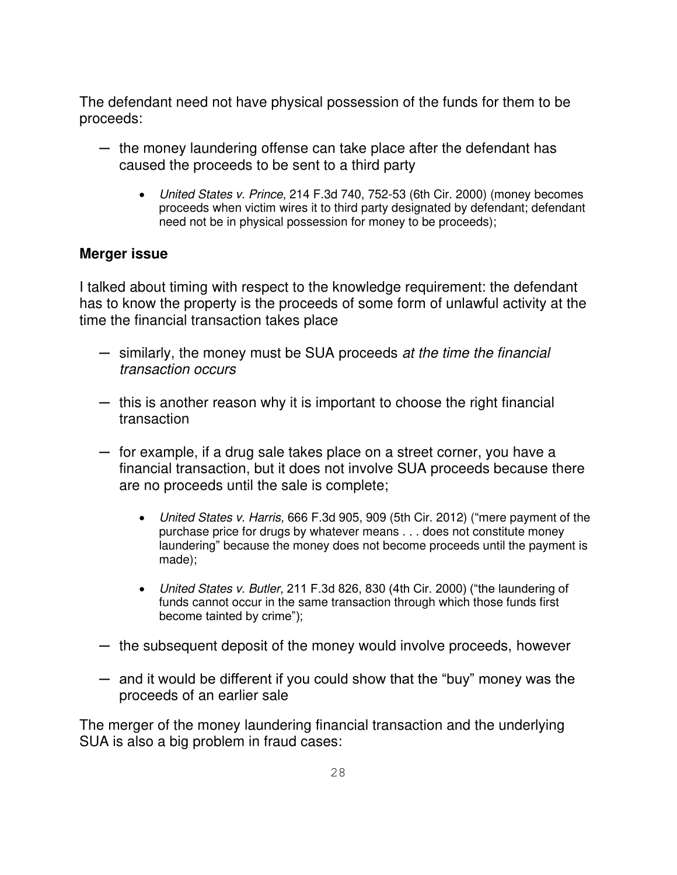The defendant need not have physical possession of the funds for them to be proceeds:

- $-$  the money laundering offense can take place after the defendant has caused the proceeds to be sent to a third party
	- United States v. Prince, 214 F.3d 740, 752-53 (6th Cir. 2000) (money becomes proceeds when victim wires it to third party designated by defendant; defendant need not be in physical possession for money to be proceeds);

## **Merger issue**

I talked about timing with respect to the knowledge requirement: the defendant has to know the property is the proceeds of some form of unlawful activity at the time the financial transaction takes place

- $-$  similarly, the money must be SUA proceeds at the time the financial transaction occurs
- ─ this is another reason why it is important to choose the right financial transaction
- ─ for example, if a drug sale takes place on a street corner, you have a financial transaction, but it does not involve SUA proceeds because there are no proceeds until the sale is complete;
	- United States v. Harris, 666 F.3d 905, 909 (5th Cir. 2012) ("mere payment of the purchase price for drugs by whatever means . . . does not constitute money laundering" because the money does not become proceeds until the payment is made);
	- United States v. Butler, 211 F.3d 826, 830 (4th Cir. 2000) ("the laundering of funds cannot occur in the same transaction through which those funds first become tainted by crime");
- $-$  the subsequent deposit of the money would involve proceeds, however
- $-$  and it would be different if you could show that the "buy" money was the proceeds of an earlier sale

The merger of the money laundering financial transaction and the underlying SUA is also a big problem in fraud cases: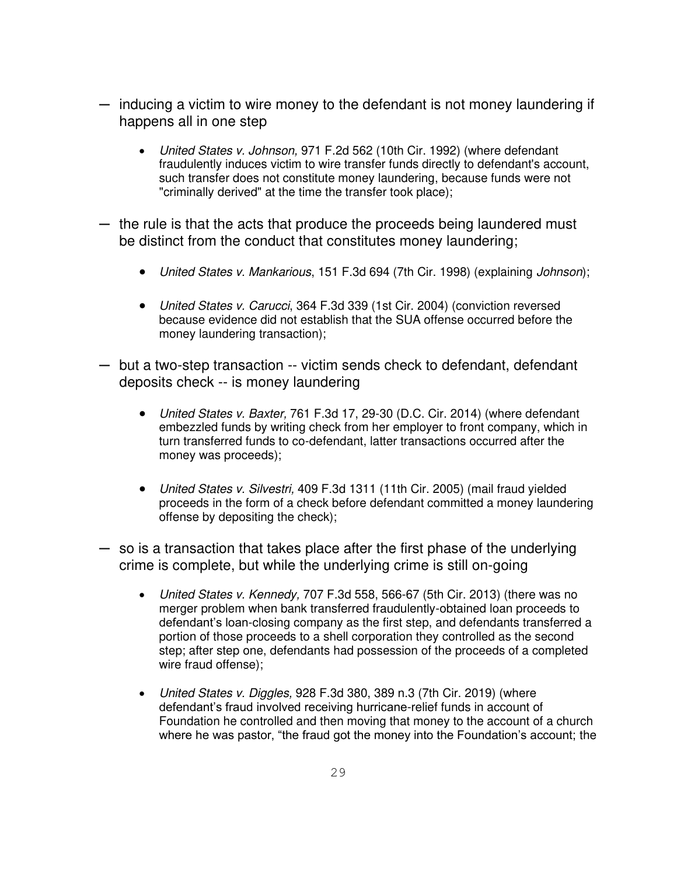- $-$  inducing a victim to wire money to the defendant is not money laundering if happens all in one step
	- United States v. Johnson, 971 F.2d 562 (10th Cir. 1992) (where defendant fraudulently induces victim to wire transfer funds directly to defendant's account, such transfer does not constitute money laundering, because funds were not "criminally derived" at the time the transfer took place);
- ─ the rule is that the acts that produce the proceeds being laundered must be distinct from the conduct that constitutes money laundering;
	- United States v. Mankarious, 151 F.3d 694 (7th Cir. 1998) (explaining Johnson);
	- United States v. Carucci, 364 F.3d 339 (1st Cir. 2004) (conviction reversed because evidence did not establish that the SUA offense occurred before the money laundering transaction);
- ─ but a two-step transaction -- victim sends check to defendant, defendant deposits check -- is money laundering
	- United States v. Baxter, 761 F.3d 17, 29-30 (D.C. Cir. 2014) (where defendant embezzled funds by writing check from her employer to front company, which in turn transferred funds to co-defendant, latter transactions occurred after the money was proceeds);
	- United States v. Silvestri, 409 F.3d 1311 (11th Cir. 2005) (mail fraud yielded proceeds in the form of a check before defendant committed a money laundering offense by depositing the check);
- ─ so is a transaction that takes place after the first phase of the underlying crime is complete, but while the underlying crime is still on-going
	- United States v. Kennedy, 707 F.3d 558, 566-67 (5th Cir. 2013) (there was no merger problem when bank transferred fraudulently-obtained loan proceeds to defendant's loan-closing company as the first step, and defendants transferred a portion of those proceeds to a shell corporation they controlled as the second step; after step one, defendants had possession of the proceeds of a completed wire fraud offense);
	- United States v. Diggles, 928 F.3d 380, 389 n.3 (7th Cir. 2019) (where defendant's fraud involved receiving hurricane-relief funds in account of Foundation he controlled and then moving that money to the account of a church where he was pastor, "the fraud got the money into the Foundation's account; the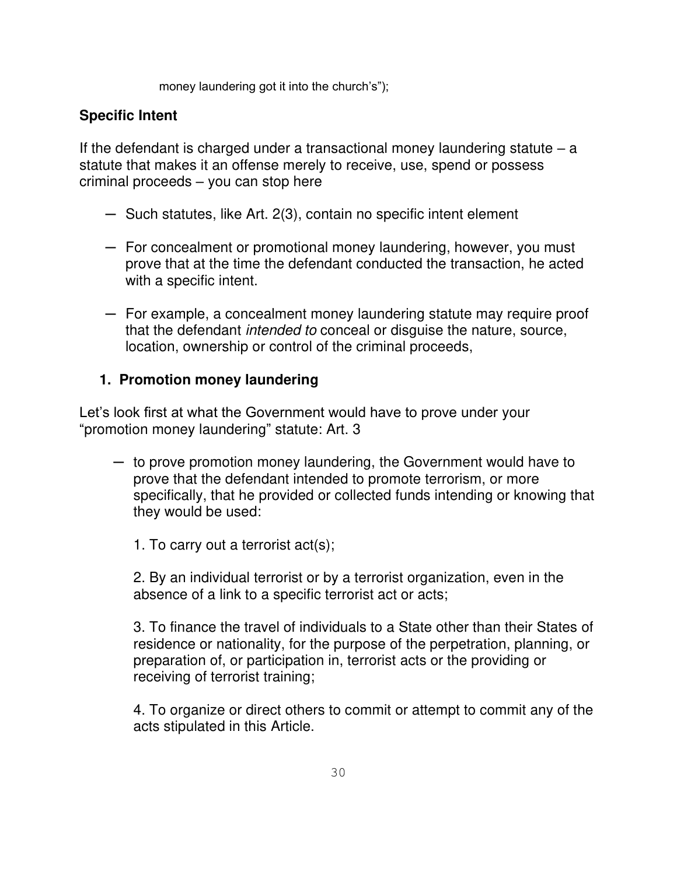money laundering got it into the church's");

## **Specific Intent**

If the defendant is charged under a transactional money laundering statute  $-$  a statute that makes it an offense merely to receive, use, spend or possess criminal proceeds – you can stop here

- ─ Such statutes, like Art. 2(3), contain no specific intent element
- $-$  For concealment or promotional money laundering, however, you must prove that at the time the defendant conducted the transaction, he acted with a specific intent.
- ─ For example, a concealment money laundering statute may require proof that the defendant intended to conceal or disguise the nature, source, location, ownership or control of the criminal proceeds,

## **1. Promotion money laundering**

Let's look first at what the Government would have to prove under your "promotion money laundering" statute: Art. 3

 $-$  to prove promotion money laundering, the Government would have to prove that the defendant intended to promote terrorism, or more specifically, that he provided or collected funds intending or knowing that they would be used:

1. To carry out a terrorist act(s);

2. By an individual terrorist or by a terrorist organization, even in the absence of a link to a specific terrorist act or acts;

3. To finance the travel of individuals to a State other than their States of residence or nationality, for the purpose of the perpetration, planning, or preparation of, or participation in, terrorist acts or the providing or receiving of terrorist training;

4. To organize or direct others to commit or attempt to commit any of the acts stipulated in this Article.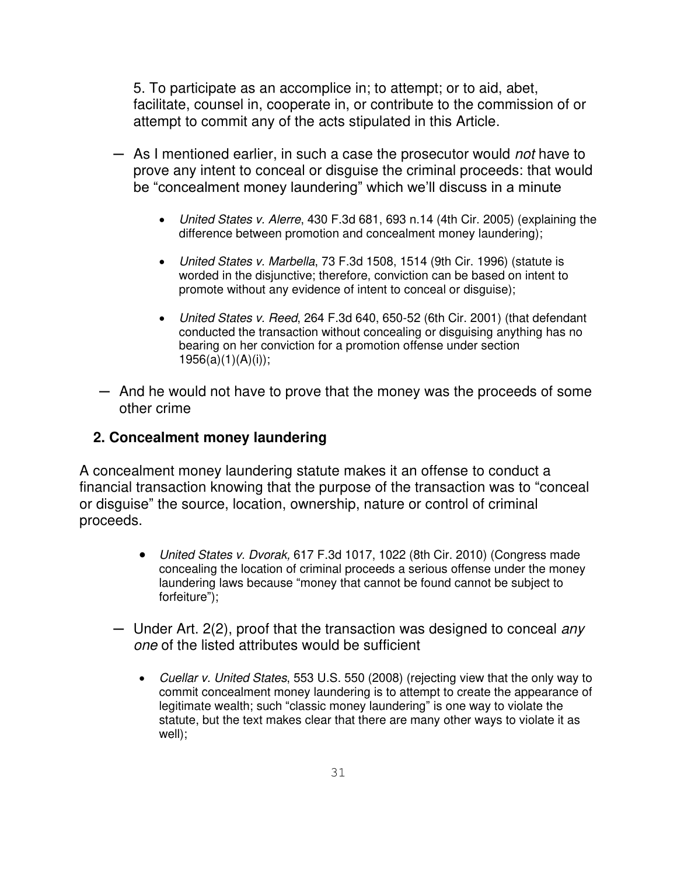5. To participate as an accomplice in; to attempt; or to aid, abet, facilitate, counsel in, cooperate in, or contribute to the commission of or attempt to commit any of the acts stipulated in this Article.

- As I mentioned earlier, in such a case the prosecutor would not have to prove any intent to conceal or disguise the criminal proceeds: that would be "concealment money laundering" which we'll discuss in a minute
	- United States v. Alerre, 430 F.3d 681, 693 n.14 (4th Cir. 2005) (explaining the difference between promotion and concealment money laundering);
	- United States v. Marbella, 73 F.3d 1508, 1514 (9th Cir. 1996) (statute is worded in the disjunctive; therefore, conviction can be based on intent to promote without any evidence of intent to conceal or disguise);
	- United States v. Reed, 264 F.3d 640, 650-52 (6th Cir. 2001) (that defendant conducted the transaction without concealing or disguising anything has no bearing on her conviction for a promotion offense under section  $1956(a)(1)(A)(i)$ ;
- $-$  And he would not have to prove that the money was the proceeds of some other crime

## **2. Concealment money laundering**

A concealment money laundering statute makes it an offense to conduct a financial transaction knowing that the purpose of the transaction was to "conceal or disguise" the source, location, ownership, nature or control of criminal proceeds.

- United States v. Dvorak, 617 F.3d 1017, 1022 (8th Cir. 2010) (Congress made concealing the location of criminal proceeds a serious offense under the money laundering laws because "money that cannot be found cannot be subject to forfeiture");
- Under Art. 2(2), proof that the transaction was designed to conceal any one of the listed attributes would be sufficient
	- Cuellar v. United States, 553 U.S. 550 (2008) (rejecting view that the only way to commit concealment money laundering is to attempt to create the appearance of legitimate wealth; such "classic money laundering" is one way to violate the statute, but the text makes clear that there are many other ways to violate it as well);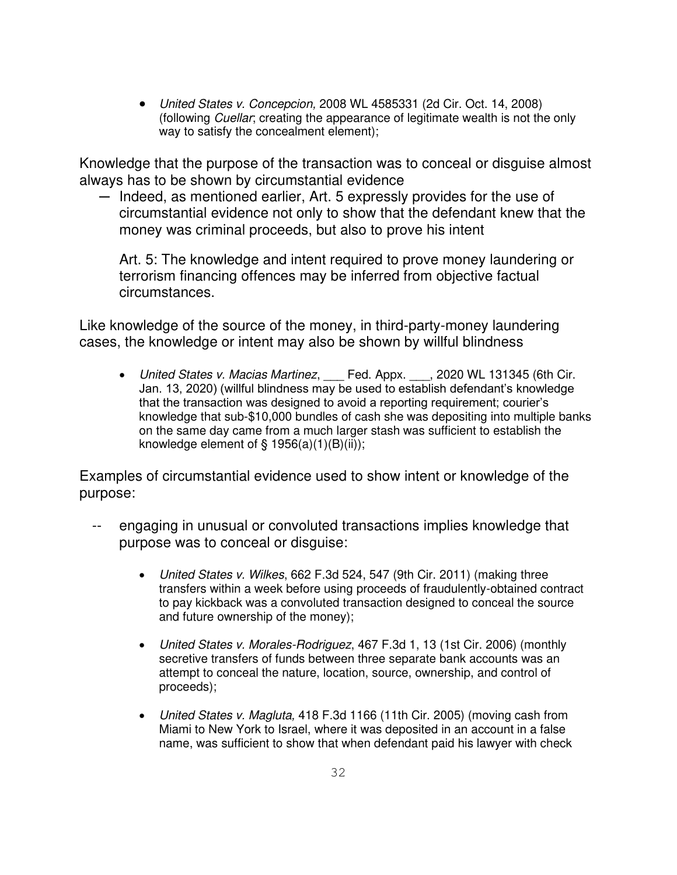• United States v. Concepcion, 2008 WL 4585331 (2d Cir. Oct. 14, 2008) (following Cuellar; creating the appearance of legitimate wealth is not the only way to satisfy the concealment element);

Knowledge that the purpose of the transaction was to conceal or disguise almost always has to be shown by circumstantial evidence

─ Indeed, as mentioned earlier, Art. 5 expressly provides for the use of circumstantial evidence not only to show that the defendant knew that the money was criminal proceeds, but also to prove his intent

Art. 5: The knowledge and intent required to prove money laundering or terrorism financing offences may be inferred from objective factual circumstances.

Like knowledge of the source of the money, in third-party-money laundering cases, the knowledge or intent may also be shown by willful blindness

• United States v. Macias Martinez, Fed. Appx. \_\_\_, 2020 WL 131345 (6th Cir. Jan. 13, 2020) (willful blindness may be used to establish defendant's knowledge that the transaction was designed to avoid a reporting requirement; courier's knowledge that sub-\$10,000 bundles of cash she was depositing into multiple banks on the same day came from a much larger stash was sufficient to establish the knowledge element of  $\S$  1956(a)(1)(B)(ii));

Examples of circumstantial evidence used to show intent or knowledge of the purpose:

- engaging in unusual or convoluted transactions implies knowledge that purpose was to conceal or disguise:
	- United States v. Wilkes, 662 F.3d 524, 547 (9th Cir. 2011) (making three transfers within a week before using proceeds of fraudulently-obtained contract to pay kickback was a convoluted transaction designed to conceal the source and future ownership of the money);
	- United States v. Morales-Rodriguez, 467 F.3d 1, 13 (1st Cir. 2006) (monthly secretive transfers of funds between three separate bank accounts was an attempt to conceal the nature, location, source, ownership, and control of proceeds);
	- United States v. Magluta, 418 F.3d 1166 (11th Cir. 2005) (moving cash from Miami to New York to Israel, where it was deposited in an account in a false name, was sufficient to show that when defendant paid his lawyer with check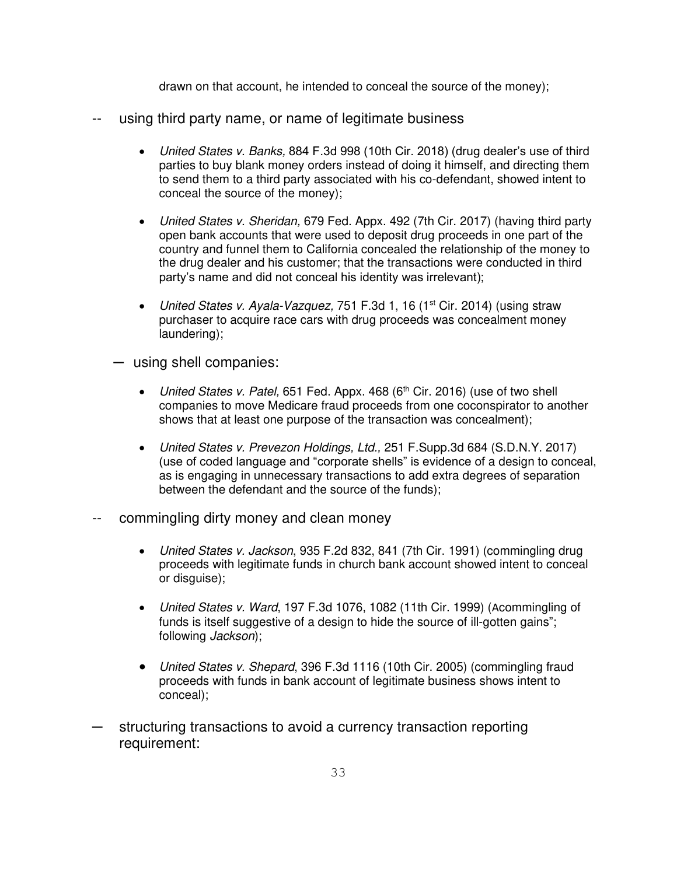drawn on that account, he intended to conceal the source of the money);

- -- using third party name, or name of legitimate business
	- United States v. Banks, 884 F.3d 998 (10th Cir. 2018) (drug dealer's use of third parties to buy blank money orders instead of doing it himself, and directing them to send them to a third party associated with his co-defendant, showed intent to conceal the source of the money);
	- United States v. Sheridan, 679 Fed. Appx. 492 (7th Cir. 2017) (having third party open bank accounts that were used to deposit drug proceeds in one part of the country and funnel them to California concealed the relationship of the money to the drug dealer and his customer; that the transactions were conducted in third party's name and did not conceal his identity was irrelevant);
	- United States v. Ayala-Vazquez, 751 F.3d 1, 16 (1<sup>st</sup> Cir. 2014) (using straw purchaser to acquire race cars with drug proceeds was concealment money laundering);
	- ─ using shell companies:
		- United States v. Patel, 651 Fed. Appx. 468 ( $6<sup>th</sup>$  Cir. 2016) (use of two shell companies to move Medicare fraud proceeds from one coconspirator to another shows that at least one purpose of the transaction was concealment);
		- United States v. Prevezon Holdings, Ltd., 251 F.Supp.3d 684 (S.D.N.Y. 2017) (use of coded language and "corporate shells" is evidence of a design to conceal, as is engaging in unnecessary transactions to add extra degrees of separation between the defendant and the source of the funds);
- commingling dirty money and clean money
	- United States v. Jackson, 935 F.2d 832, 841 (7th Cir. 1991) (commingling drug proceeds with legitimate funds in church bank account showed intent to conceal or disguise);
	- United States v. Ward, 197 F.3d 1076, 1082 (11th Cir. 1999) (Acommingling of funds is itself suggestive of a design to hide the source of ill-gotten gains"; following Jackson);
	- United States v. Shepard, 396 F.3d 1116 (10th Cir. 2005) (commingling fraud proceeds with funds in bank account of legitimate business shows intent to conceal);
- structuring transactions to avoid a currency transaction reporting requirement: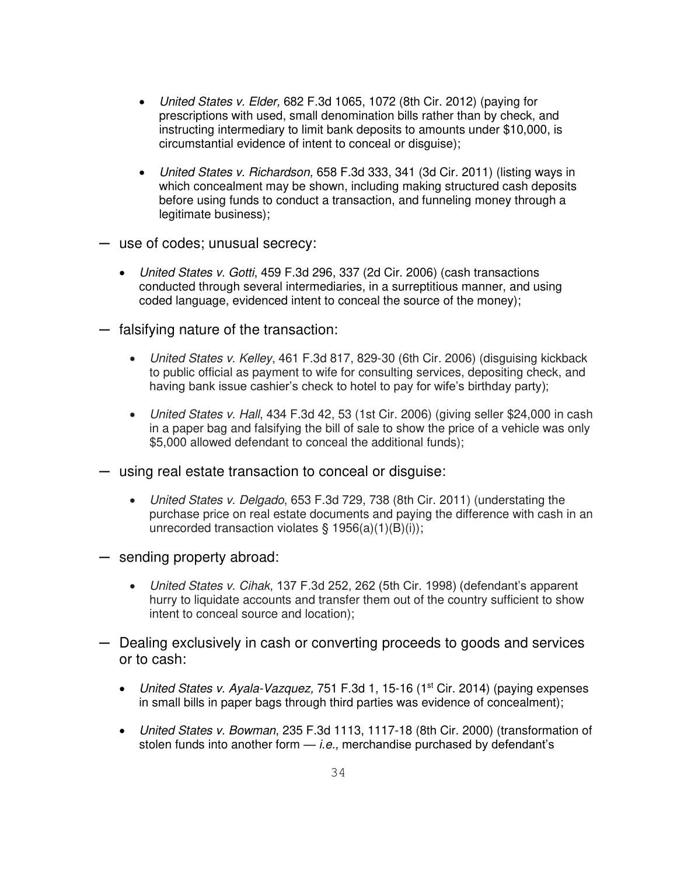- United States v. Elder, 682 F.3d 1065, 1072 (8th Cir. 2012) (paying for prescriptions with used, small denomination bills rather than by check, and instructing intermediary to limit bank deposits to amounts under \$10,000, is circumstantial evidence of intent to conceal or disguise);
- United States v. Richardson, 658 F.3d 333, 341 (3d Cir. 2011) (listing ways in which concealment may be shown, including making structured cash deposits before using funds to conduct a transaction, and funneling money through a legitimate business);
- ─ use of codes; unusual secrecy:
	- United States v. Gotti, 459 F.3d 296, 337 (2d Cir. 2006) (cash transactions conducted through several intermediaries, in a surreptitious manner, and using coded language, evidenced intent to conceal the source of the money);
- ─ falsifying nature of the transaction:
	- United States v. Kelley, 461 F.3d 817, 829-30 (6th Cir. 2006) (disguising kickback to public official as payment to wife for consulting services, depositing check, and having bank issue cashier's check to hotel to pay for wife's birthday party);
	- United States v. Hall, 434 F.3d 42, 53 (1st Cir. 2006) (giving seller \$24,000 in cash in a paper bag and falsifying the bill of sale to show the price of a vehicle was only \$5,000 allowed defendant to conceal the additional funds);
- ─ using real estate transaction to conceal or disguise:
	- United States v. Delgado, 653 F.3d 729, 738 (8th Cir. 2011) (understating the purchase price on real estate documents and paying the difference with cash in an unrecorded transaction violates  $\S$  1956(a)(1)(B)(i));
- ─ sending property abroad:
	- United States v. Cihak, 137 F.3d 252, 262 (5th Cir. 1998) (defendant's apparent hurry to liquidate accounts and transfer them out of the country sufficient to show intent to conceal source and location);
- ─ Dealing exclusively in cash or converting proceeds to goods and services or to cash:
	- United States v. Ayala-Vazquez, 751 F.3d 1, 15-16 (1<sup>st</sup> Cir. 2014) (paying expenses in small bills in paper bags through third parties was evidence of concealment);
	- United States v. Bowman, 235 F.3d 1113, 1117-18 (8th Cir. 2000) (transformation of stolen funds into another form  $-$  *i.e.*, merchandise purchased by defendant's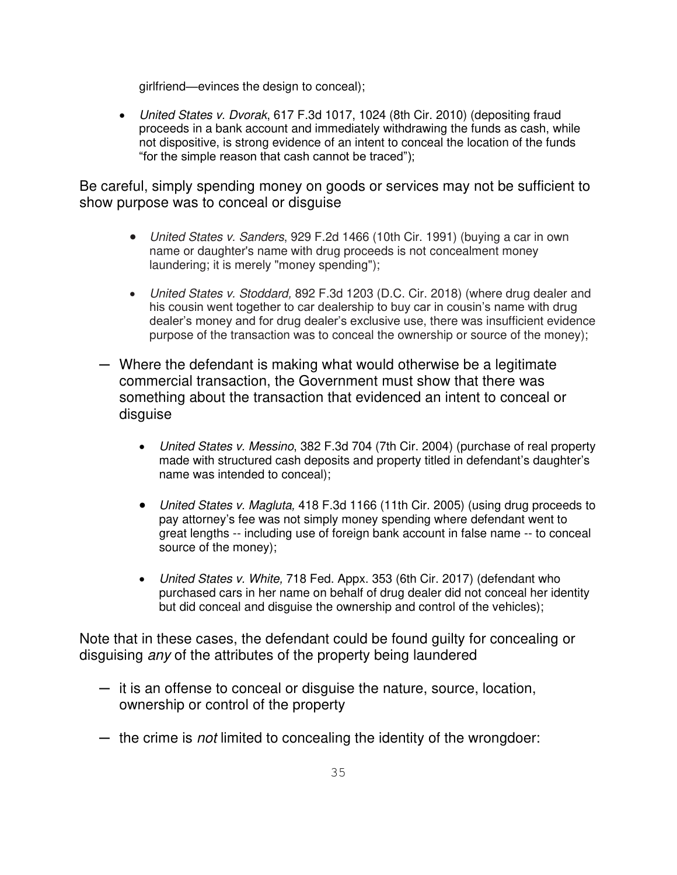girlfriend—evinces the design to conceal);

• United States v. Dvorak, 617 F.3d 1017, 1024 (8th Cir. 2010) (depositing fraud proceeds in a bank account and immediately withdrawing the funds as cash, while not dispositive, is strong evidence of an intent to conceal the location of the funds "for the simple reason that cash cannot be traced");

Be careful, simply spending money on goods or services may not be sufficient to show purpose was to conceal or disguise

- United States v. Sanders, 929 F.2d 1466 (10th Cir. 1991) (buying a car in own name or daughter's name with drug proceeds is not concealment money laundering; it is merely "money spending");
- United States v. Stoddard, 892 F.3d 1203 (D.C. Cir. 2018) (where drug dealer and his cousin went together to car dealership to buy car in cousin's name with drug dealer's money and for drug dealer's exclusive use, there was insufficient evidence purpose of the transaction was to conceal the ownership or source of the money);
- ─ Where the defendant is making what would otherwise be a legitimate commercial transaction, the Government must show that there was something about the transaction that evidenced an intent to conceal or disguise
	- United States v. Messino, 382 F.3d 704 (7th Cir. 2004) (purchase of real property made with structured cash deposits and property titled in defendant's daughter's name was intended to conceal);
	- United States v. Magluta, 418 F.3d 1166 (11th Cir. 2005) (using drug proceeds to pay attorney's fee was not simply money spending where defendant went to great lengths -- including use of foreign bank account in false name -- to conceal source of the money);
	- United States v. White, 718 Fed. Appx. 353 (6th Cir. 2017) (defendant who purchased cars in her name on behalf of drug dealer did not conceal her identity but did conceal and disguise the ownership and control of the vehicles);

Note that in these cases, the defendant could be found guilty for concealing or disguising *any* of the attributes of the property being laundered

- ─ it is an offense to conceal or disguise the nature, source, location, ownership or control of the property
- the crime is *not* limited to concealing the identity of the wrongdoer: